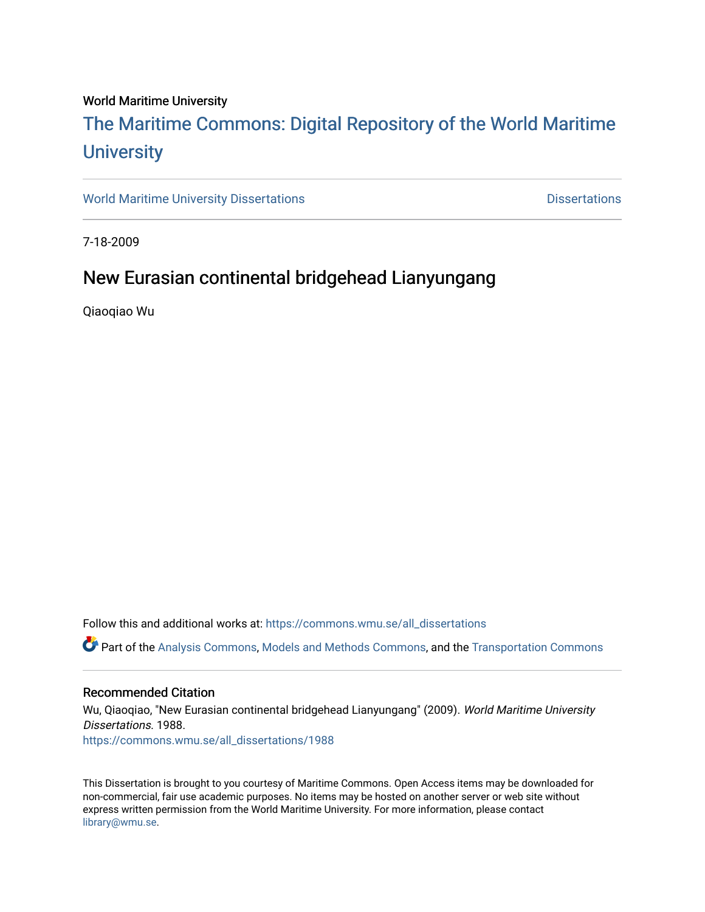#### World Maritime University

## [The Maritime Commons: Digital Repository of the World Maritime](https://commons.wmu.se/)  **University**

[World Maritime University Dissertations](https://commons.wmu.se/all_dissertations) **Example 20 and Taylor 10 and Taylor** Dissertations

7-18-2009

## New Eurasian continental bridgehead Lianyungang

Qiaoqiao Wu

Follow this and additional works at: [https://commons.wmu.se/all\\_dissertations](https://commons.wmu.se/all_dissertations?utm_source=commons.wmu.se%2Fall_dissertations%2F1988&utm_medium=PDF&utm_campaign=PDFCoverPages) 

Part of the [Analysis Commons](http://network.bepress.com/hgg/discipline/177?utm_source=commons.wmu.se%2Fall_dissertations%2F1988&utm_medium=PDF&utm_campaign=PDFCoverPages), [Models and Methods Commons](http://network.bepress.com/hgg/discipline/390?utm_source=commons.wmu.se%2Fall_dissertations%2F1988&utm_medium=PDF&utm_campaign=PDFCoverPages), and the [Transportation Commons](http://network.bepress.com/hgg/discipline/1068?utm_source=commons.wmu.se%2Fall_dissertations%2F1988&utm_medium=PDF&utm_campaign=PDFCoverPages)

#### Recommended Citation

Wu, Qiaoqiao, "New Eurasian continental bridgehead Lianyungang" (2009). World Maritime University Dissertations. 1988.

[https://commons.wmu.se/all\\_dissertations/1988](https://commons.wmu.se/all_dissertations/1988?utm_source=commons.wmu.se%2Fall_dissertations%2F1988&utm_medium=PDF&utm_campaign=PDFCoverPages)

This Dissertation is brought to you courtesy of Maritime Commons. Open Access items may be downloaded for non-commercial, fair use academic purposes. No items may be hosted on another server or web site without express written permission from the World Maritime University. For more information, please contact [library@wmu.se](mailto:library@wmu.edu).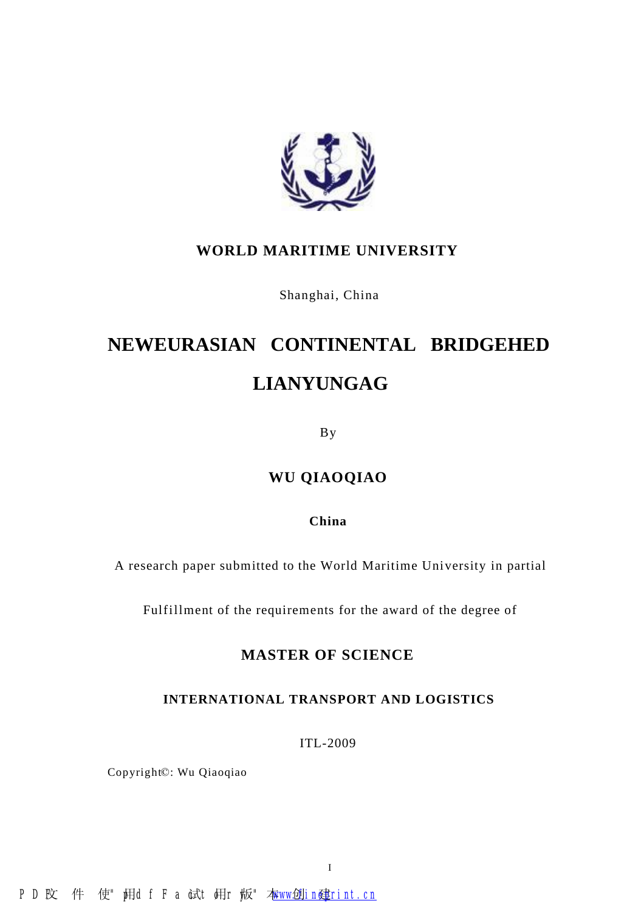

## **WORLD MARITIME UNIVERSITY**

Shanghai, China

# **NEWEURASIAN CONTINENTAL BRIDGEHED LIANYUNGAG**

By

## **WU QIAOQIAO**

#### **China**

A research paper submitted to the World Maritime University in partial

Fulfillment of the requirements for the award of the degree of

### **MASTER OF SCIENCE**

#### **INTERNATIONAL TRANSPORT AND LOGISTICS**

ITL-2009

Copyright©: Wu Qiaoqiao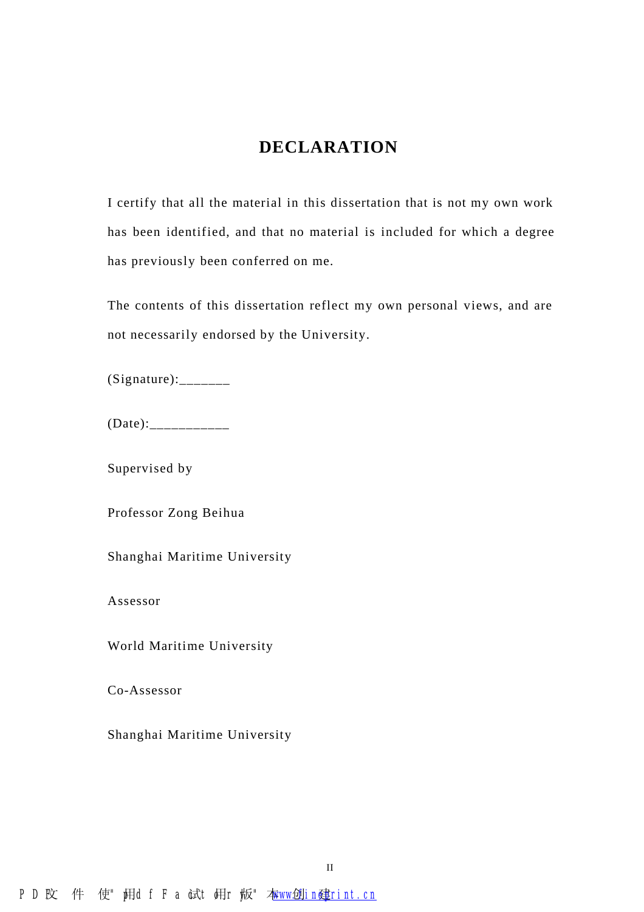## **DECLARATION**

I certify that all the material in this dissertation that is not my own work has been identified, and that no material is included for which a degree has previously been conferred on me.

The contents of this dissertation reflect my own personal views, and are not necessarily endorsed by the University.

 $(Signature):$ 

 $(Date):$ 

Supervised by

Professor Zong Beihua

Shanghai Maritime University

Assessor

World Maritime University

Co-Assessor

Shanghai Maritime University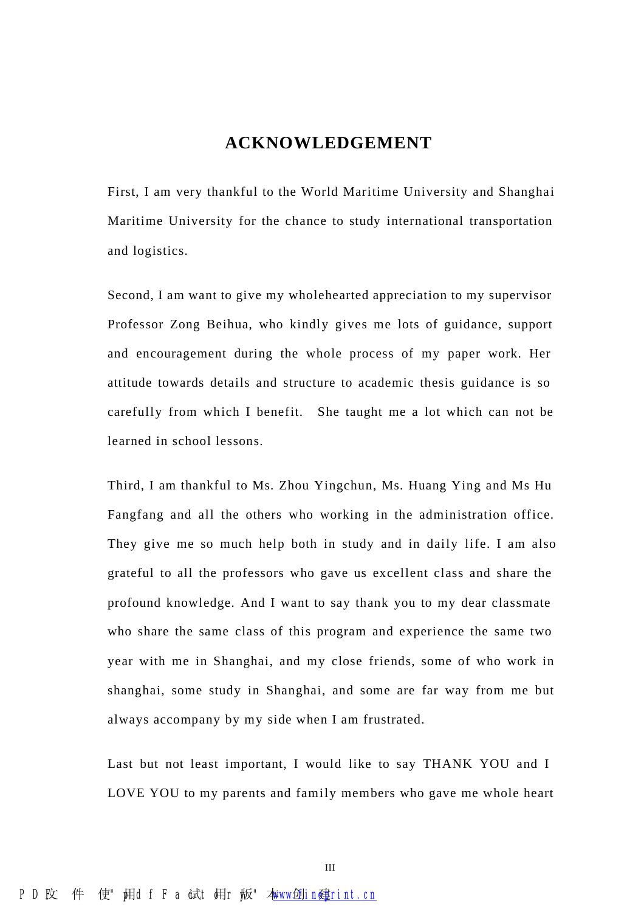## **ACKNOWLEDGEMENT**

First, I am very thankful to the World Maritime University and Shanghai Maritime University for the chance to study international transportation and logistics.

Second, I am want to give my wholehearted appreciation to my supervisor Professor Zong Beihua, who kindly gives me lots of guidance, support and encouragement during the whole process of my paper work. Her attitude towards details and structure to academic thesis guidance is so carefully from which I benefit. She taught me a lot which can not be learned in school lessons.

Third, I am thankful to Ms. Zhou Yingchun, Ms. Huang Ying and Ms Hu Fangfang and all the others who working in the administration office. They give me so much help both in study and in daily life. I am also grateful to all the professors who gave us excellent class and share the profound knowledge. And I want to say thank you to my dear classmate who share the same class of this program and experience the same two year with me in Shanghai, and my close friends, some of who work in shanghai, some study in Shanghai, and some are far way from me but always accompany by my side when I am frustrated.

Last but not least important, I would like to say THANK YOU and I LOVE YOU to my parents and family members who gave me whole heart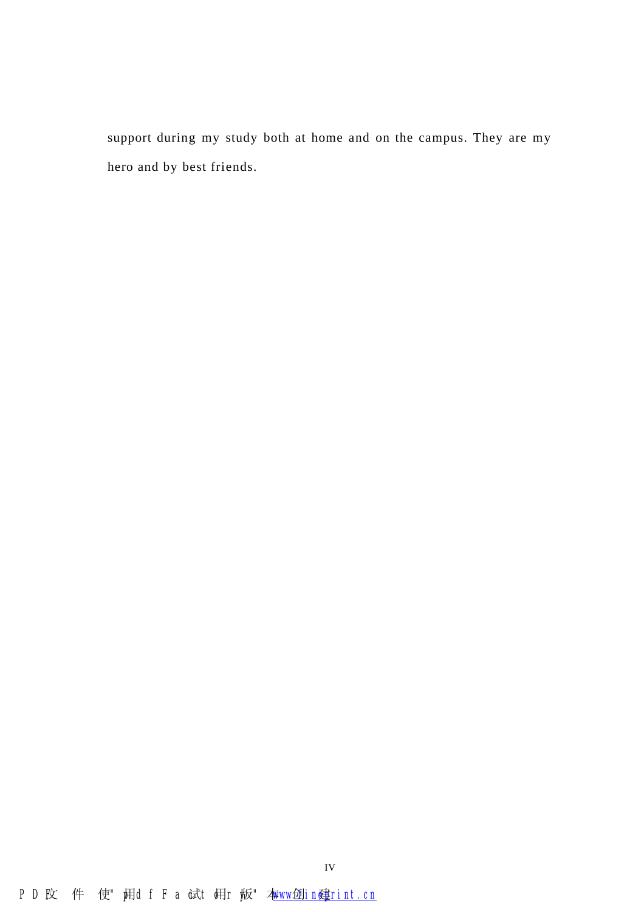support during my study both at home and on the campus. They are my hero and by best friends.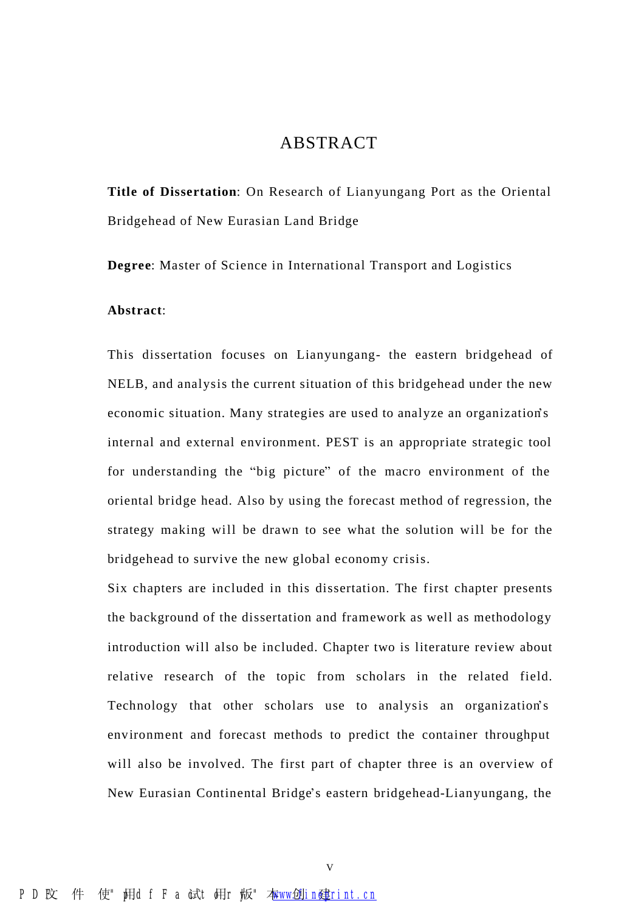### ABSTRACT

**Title of Dissertation**: On Research of Lianyungang Port as the Oriental Bridgehead of New Eurasian Land Bridge

**Degree**: Master of Science in International Transport and Logistics

#### **Abstract**:

This dissertation focuses on Lianyungang- the eastern bridgehead of NELB, and analysis the current situation of this bridgehead under the new economic situation. Many strategies are used to analyze an organization's internal and external environment. PEST is an appropriate strategic tool for understanding the "big picture" of the macro environment of the oriental bridge head. Also by using the forecast method of regression, the strategy making will be drawn to see what the solution will be for the bridgehead to survive the new global economy crisis.

Six chapters are included in this dissertation. The first chapter presents the background of the dissertation and framework as well as methodology introduction will also be included. Chapter two is literature review about relative research of the topic from scholars in the related field. Technology that other scholars use to analysis an organization's environment and forecast methods to predict the container throughput will also be involved. The first part of chapter three is an overview of New Eurasian Continental Bridge's eastern bridgehead-Lianyungang, the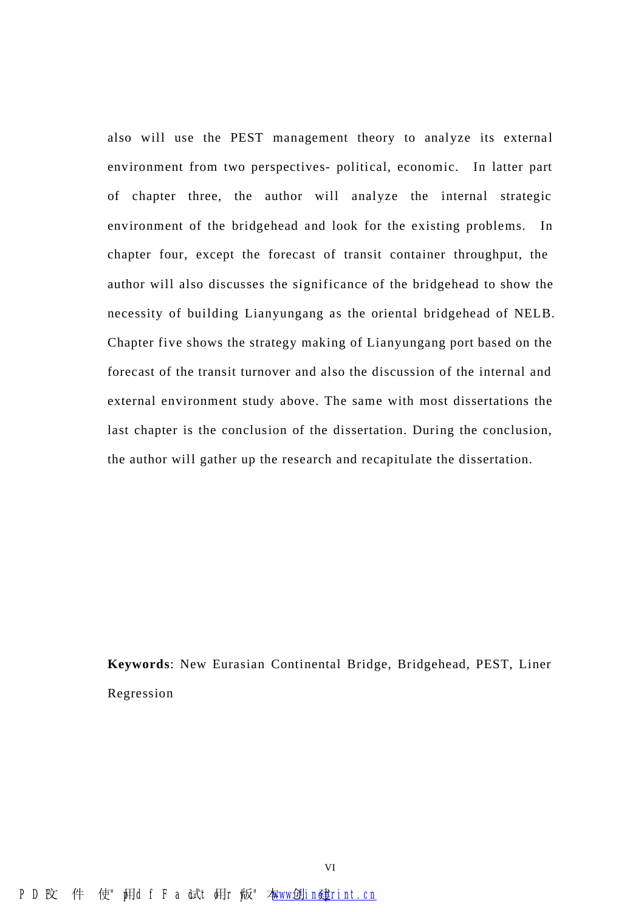also will use the PEST management theory to analyze its external environment from two perspectives- political, economic. In latter part of chapter three, the author will analyze the internal strategic environment of the bridgehead and look for the existing problems. In chapter four, except the forecast of transit container throughput, the author will also discusses the significance of the bridgehead to show the necessity of building Lianyungang as the oriental bridgehead of NELB. Chapter five shows the strategy making of Lianyungang port based on the forecast of the transit turnover and also the discussion of the internal and external environment study above. The same with most dissertations the last chapter is the conclusion of the dissertation. During the conclusion, the author will gather up the research and recapitulate the dissertation.

**Keywords**: New Eurasian Continental Bridge, Bridgehead, PEST, Liner Regression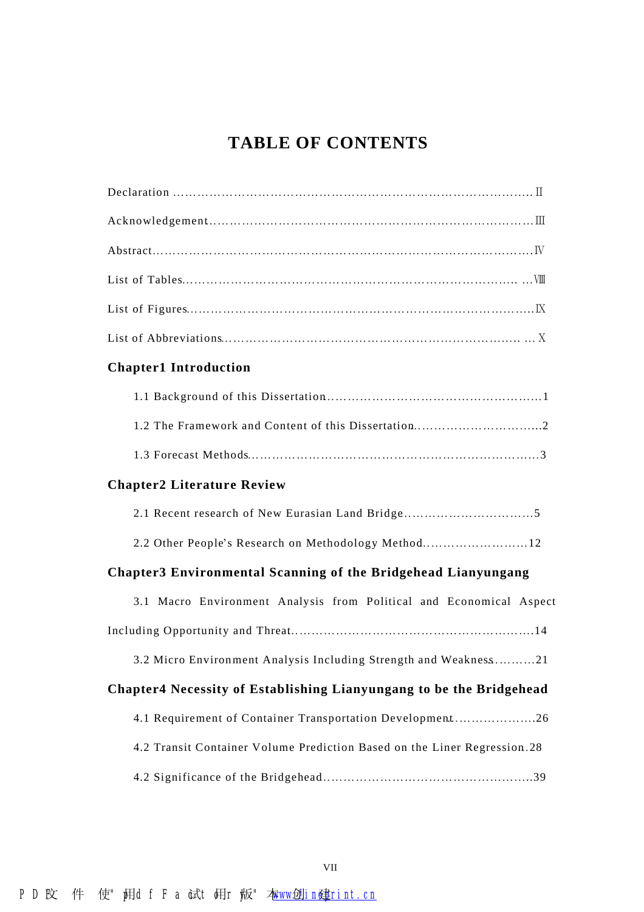## **TABLE OF CONTENTS**

| ${\bf Acknowledgement.}\hspace{1cm} {\bf\textbf{m}}$ |  |
|------------------------------------------------------|--|
|                                                      |  |
|                                                      |  |
|                                                      |  |
|                                                      |  |

### **Chapter1 Introduction**

### **Chapter2 Literature Review**

2.2 Other People's Research on Methodology Method………………………12

## **Chapter3 Environmental Scanning of the Bridgehead Lianyungang**

| 3.1 Macro Environment Analysis from Political and Economical Aspect      |  |  |  |  |
|--------------------------------------------------------------------------|--|--|--|--|
|                                                                          |  |  |  |  |
| 3.2 Micro Environment Analysis Including Strength and Weakness21         |  |  |  |  |
| Chapter4 Necessity of Establishing Lianyungang to be the Bridgehead      |  |  |  |  |
| 4.1 Requirement of Container Transportation Development26                |  |  |  |  |
| 4.2 Transit Container Volume Prediction Based on the Liner Regression.28 |  |  |  |  |
|                                                                          |  |  |  |  |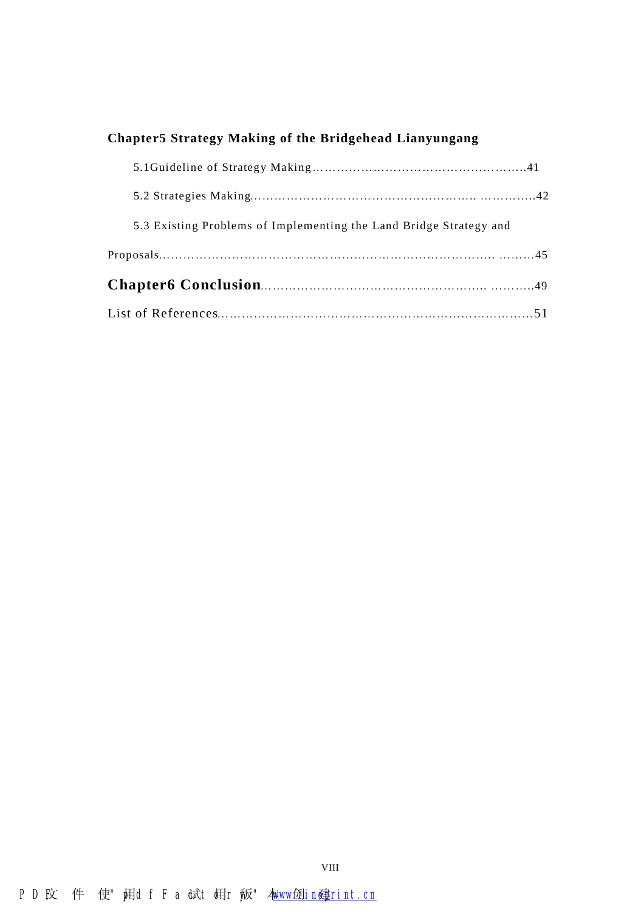## **Chapter5 Strategy Making of the Bridgehead Lianyungang**

| 5.3 Existing Problems of Implementing the Land Bridge Strategy and |  |
|--------------------------------------------------------------------|--|
|                                                                    |  |
|                                                                    |  |
|                                                                    |  |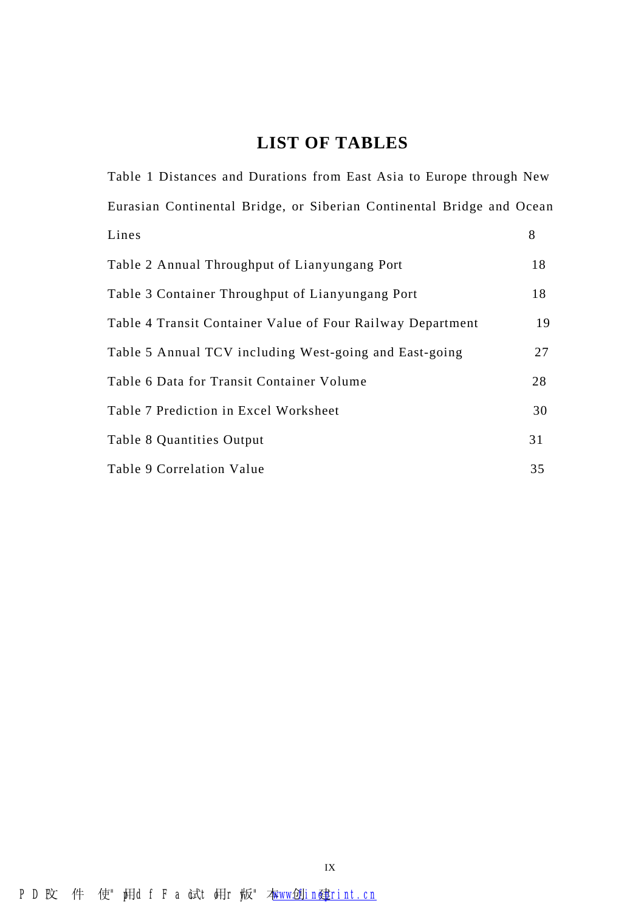## **LIST OF TABLES**

Table 1 Distances and Durations from East Asia to Europe through New Eurasian Continental Bridge, or Siberian Continental Bridge and Ocean  $Lines$  8 Table 2 Annual Throughput of Lianyungang Port 18 Table 3 Container Throughput of Lianyungang Port 18 Table 4 Transit Container Value of Four Railway Department 19 Table 5 Annual TCV including West-going and East-going 27 Table 6 Data for Transit Container Volume 28 Table 7 Prediction in Excel Worksheet 30 Table 8 Quantities Output 31 Table 9 Correlation Value 35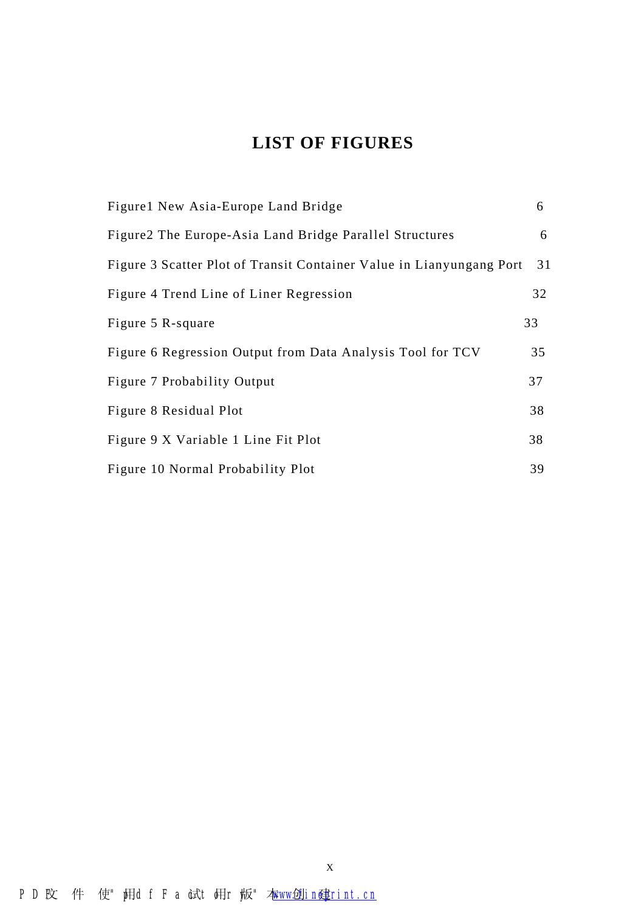## **LIST OF FIGURES**

| Figure 1 New Asia-Europe Land Bridge                                 | 6  |
|----------------------------------------------------------------------|----|
| Figure 2 The Europe-Asia Land Bridge Parallel Structures             | 6  |
| Figure 3 Scatter Plot of Transit Container Value in Lianyungang Port | 31 |
| Figure 4 Trend Line of Liner Regression                              | 32 |
| Figure 5 R-square                                                    | 33 |
| Figure 6 Regression Output from Data Analysis Tool for TCV           | 35 |
| Figure 7 Probability Output                                          | 37 |
| Figure 8 Residual Plot                                               | 38 |
| Figure 9 X Variable 1 Line Fit Plot                                  | 38 |
| Figure 10 Normal Probability Plot                                    | 39 |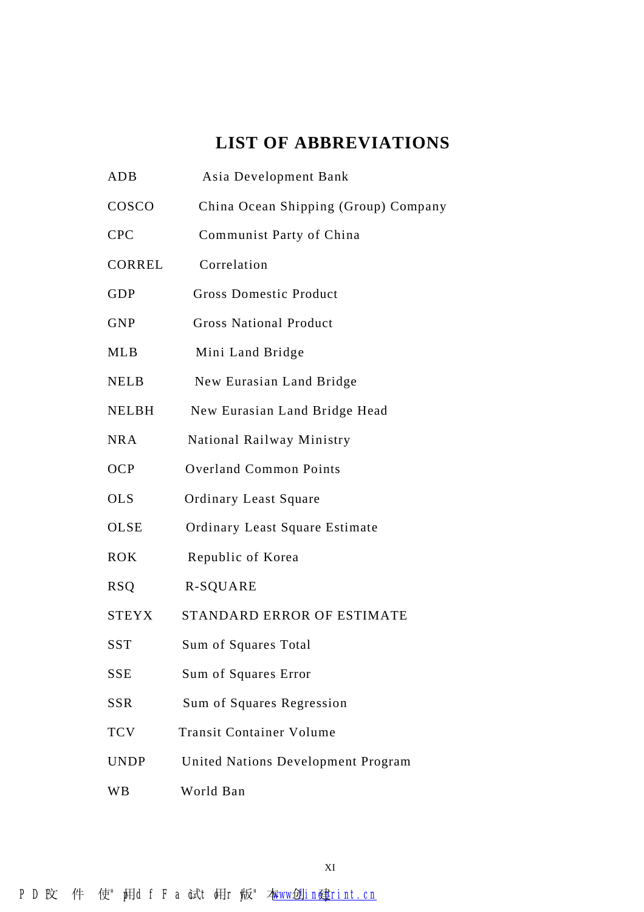## **LIST OF ABBREVIATIONS**

| <b>ADB</b>    | Asia Development Bank                |
|---------------|--------------------------------------|
| COSCO         | China Ocean Shipping (Group) Company |
| <b>CPC</b>    | Communist Party of China             |
| <b>CORREL</b> | Correlation                          |
| <b>GDP</b>    | <b>Gross Domestic Product</b>        |
| <b>GNP</b>    | <b>Gross National Product</b>        |
| <b>MLB</b>    | Mini Land Bridge                     |
| <b>NELB</b>   | New Eurasian Land Bridge             |
| <b>NELBH</b>  | New Eurasian Land Bridge Head        |
| <b>NRA</b>    | National Railway Ministry            |
| <b>OCP</b>    | <b>Overland Common Points</b>        |
| <b>OLS</b>    | <b>Ordinary Least Square</b>         |
| OLSE          | Ordinary Least Square Estimate       |
| <b>ROK</b>    | Republic of Korea                    |
| <b>RSQ</b>    | <b>R-SQUARE</b>                      |
| <b>STEYX</b>  | STANDARD ERROR OF ESTIMATE           |
| <b>SST</b>    | Sum of Squares Total                 |
| <b>SSE</b>    | Sum of Squares Error                 |
| <b>SSR</b>    | Sum of Squares Regression            |
| <b>TCV</b>    | <b>Transit Container Volume</b>      |
| <b>UNDP</b>   | United Nations Development Program   |
| WB            | World Ban                            |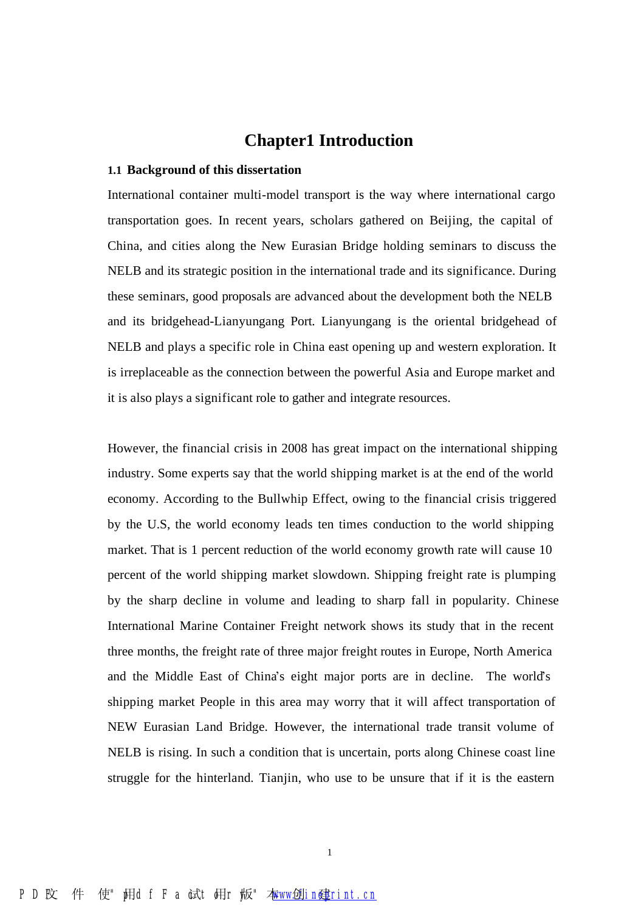## **Chapter1 Introduction**

#### **1.1 Background of this dissertation**

International container multi-model transport is the way where international cargo transportation goes. In recent years, scholars gathered on Beijing, the capital of China, and cities along the New Eurasian Bridge holding seminars to discuss the NELB and its strategic position in the international trade and its significance. During these seminars, good proposals are advanced about the development both the NELB and its bridgehead-Lianyungang Port. Lianyungang is the oriental bridgehead of NELB and plays a specific role in China east opening up and western exploration. It is irreplaceable as the connection between the powerful Asia and Europe market and it is also plays a significant role to gather and integrate resources.

However, the financial crisis in 2008 has great impact on the international shipping industry. Some experts say that the world shipping market is at the end of the world economy. According to the Bullwhip Effect, owing to the financial crisis triggered by the U.S, the world economy leads ten times conduction to the world shipping market. That is 1 percent reduction of the world economy growth rate will cause 10 percent of the world shipping market slowdown. Shipping freight rate is plumping by the sharp decline in volume and leading to sharp fall in popularity. Chinese International Marine Container Freight network shows its study that in the recent three months, the freight rate of three major freight routes in Europe, North America and the Middle East of China's eight major ports are in decline. The world's shipping market People in this area may worry that it will affect transportation of NEW Eurasian Land Bridge. However, the international trade transit volume of NELB is rising. In such a condition that is uncertain, ports along Chinese coast line struggle for the hinterland. Tianjin, who use to be unsure that if it is the eastern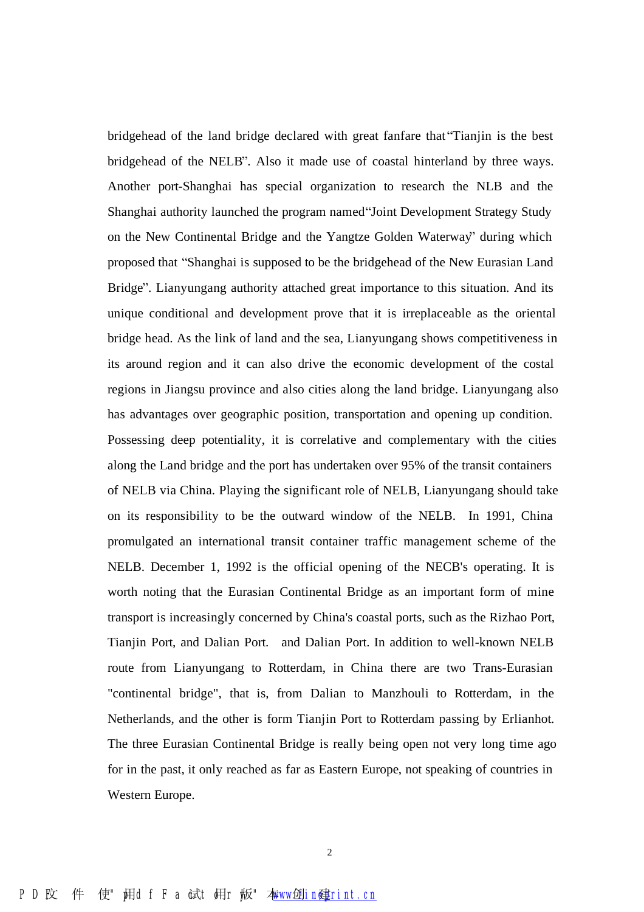bridgehead of the land bridge declared with great fanfare that "Tianjin is the best bridgehead of the NELB". Also it made use of coastal hinterland by three ways. Another port-Shanghai has special organization to research the NLB and the Shanghai authority launched the program named "Joint Development Strategy Study on the New Continental Bridge and the Yangtze Golden Waterway" during which proposed that "Shanghai is supposed to be the bridgehead of the New Eurasian Land Bridge". Lianyungang authority attached great importance to this situation. And its unique conditional and development prove that it is irreplaceable as the oriental bridge head. As the link of land and the sea, Lianyungang shows competitiveness in its around region and it can also drive the economic development of the costal regions in Jiangsu province and also cities along the land bridge. Lianyungang also has advantages over geographic position, transportation and opening up condition. Possessing deep potentiality, it is correlative and complementary with the cities along the Land bridge and the port has undertaken over 95% of the transit containers of NELB via China. Playing the significant role of NELB, Lianyungang should take on its responsibility to be the outward window of the NELB. In 1991, China promulgated an international transit container traffic management scheme of the NELB. December 1, 1992 is the official opening of the NECB's operating. It is worth noting that the Eurasian Continental Bridge as an important form of mine transport is increasingly concerned by China's coastal ports, such as the Rizhao Port, Tianjin Port, and Dalian Port. and Dalian Port. In addition to well-known NELB route from Lianyungang to Rotterdam, in China there are two Trans-Eurasian "continental bridge", that is, from Dalian to Manzhouli to Rotterdam, in the Netherlands, and the other is form Tianjin Port to Rotterdam passing by Erlianhot. The three Eurasian Continental Bridge is really being open not very long time ago for in the past, it only reached as far as Eastern Europe, not speaking of countries in Western Europe.

2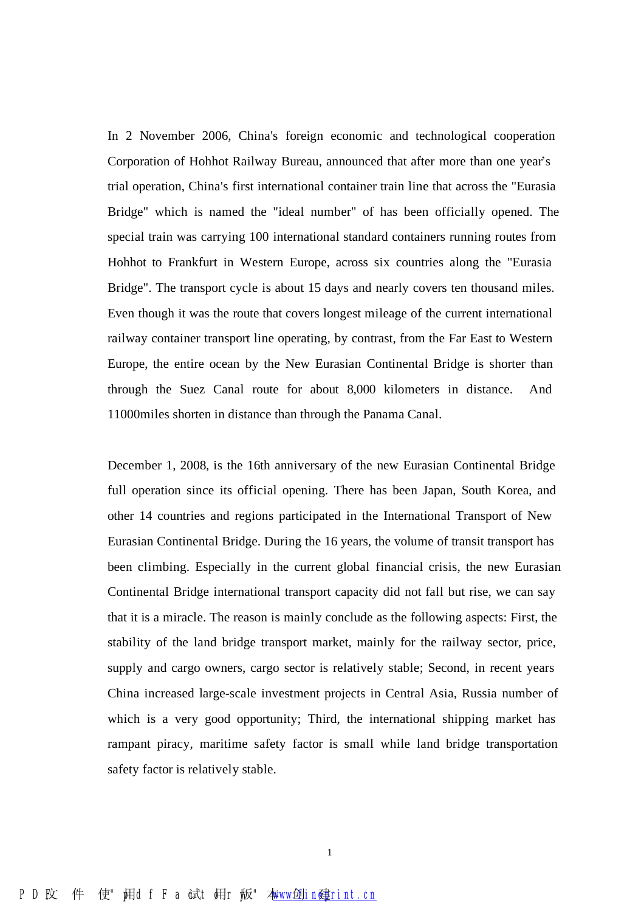In 2 November 2006, China's foreign economic and technological cooperation Corporation of Hohhot Railway Bureau, announced that after more than one year's trial operation, China's first international container train line that across the "Eurasia Bridge" which is named the "ideal number" of has been officially opened. The special train was carrying 100 international standard containers running routes from Hohhot to Frankfurt in Western Europe, across six countries along the "Eurasia Bridge". The transport cycle is about 15 days and nearly covers ten thousand miles. Even though it was the route that covers longest mileage of the current international railway container transport line operating, by contrast, from the Far East to Western Europe, the entire ocean by the New Eurasian Continental Bridge is shorter than through the Suez Canal route for about 8,000 kilometers in distance. And 11000miles shorten in distance than through the Panama Canal.

December 1, 2008, is the 16th anniversary of the new Eurasian Continental Bridge full operation since its official opening. There has been Japan, South Korea, and other 14 countries and regions participated in the International Transport of New Eurasian Continental Bridge. During the 16 years, the volume of transit transport has been climbing. Especially in the current global financial crisis, the new Eurasian Continental Bridge international transport capacity did not fall but rise, we can say that it is a miracle. The reason is mainly conclude as the following aspects: First, the stability of the land bridge transport market, mainly for the railway sector, price, supply and cargo owners, cargo sector is relatively stable; Second, in recent years China increased large-scale investment projects in Central Asia, Russia number of which is a very good opportunity; Third, the international shipping market has rampant piracy, maritime safety factor is small while land bridge transportation safety factor is relatively stable.

1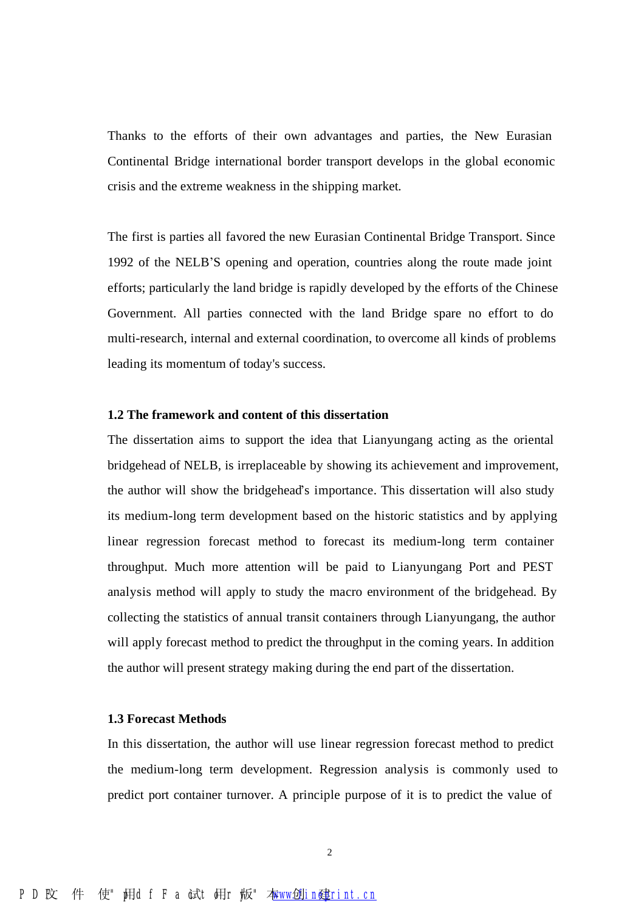Thanks to the efforts of their own advantages and parties, the New Eurasian Continental Bridge international border transport develops in the global economic crisis and the extreme weakness in the shipping market.

The first is parties all favored the new Eurasian Continental Bridge Transport. Since 1992 of the NELB'S opening and operation, countries along the route made joint efforts; particularly the land bridge is rapidly developed by the efforts of the Chinese Government. All parties connected with the land Bridge spare no effort to do multi-research, internal and external coordination, to overcome all kinds of problems leading its momentum of today's success.

#### **1.2 The framework and content of this dissertation**

The dissertation aims to support the idea that Lianyungang acting as the oriental bridgehead of NELB, is irreplaceable by showing its achievement and improvement, the author will show the bridgehead's importance. This dissertation will also study its medium-long term development based on the historic statistics and by applying linear regression forecast method to forecast its medium-long term container throughput. Much more attention will be paid to Lianyungang Port and PEST analysis method will apply to study the macro environment of the bridgehead. By collecting the statistics of annual transit containers through Lianyungang, the author will apply forecast method to predict the throughput in the coming years. In addition the author will present strategy making during the end part of the dissertation.

#### **1.3 Forecast Methods**

In this dissertation, the author will use linear regression forecast method to predict the medium-long term development. Regression analysis is commonly used to predict port container turnover. A principle purpose of it is to predict the value of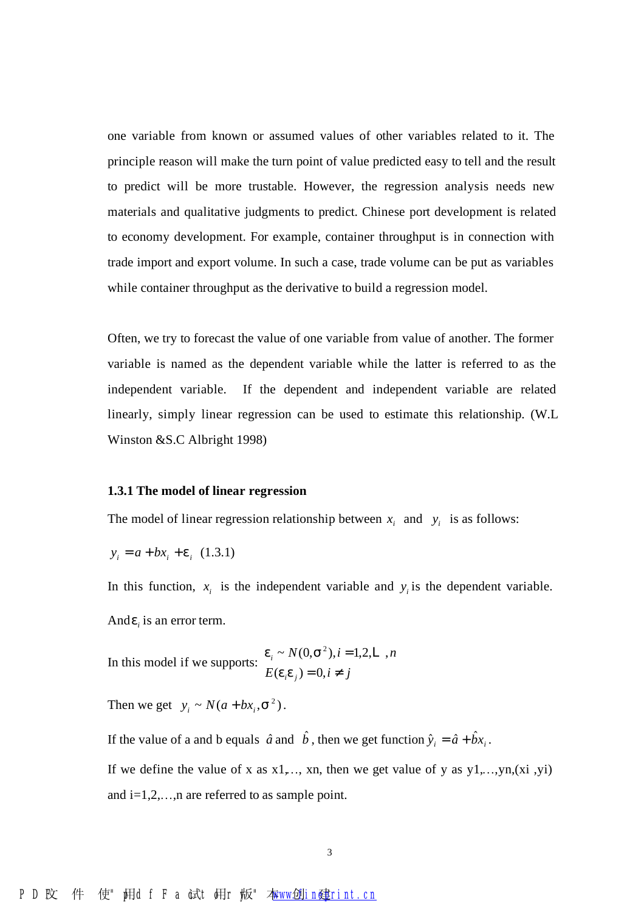one variable from known or assumed values of other variables related to it. The principle reason will make the turn point of value predicted easy to tell and the result to predict will be more trustable. However, the regression analysis needs new materials and qualitative judgments to predict. Chinese port development is related to economy development. For example, container throughput is in connection with trade import and export volume. In such a case, trade volume can be put as variables while container throughput as the derivative to build a regression model.

Often, we try to forecast the value of one variable from value of another. The former variable is named as the dependent variable while the latter is referred to as the independent variable. If the dependent and independent variable are related linearly, simply linear regression can be used to estimate this relationship. (W.L Winston &S.C Albright 1998)

#### **1.3.1 The model of linear regression**

The model of linear regression relationship between  $x_i$  and  $y_i$  is as follows:

$$
y_i = a + bx_i + e_i \ (1.3.1)
$$

In this function,  $x_i$  is the independent variable and  $y_i$  is the dependent variable. And  $e_i$  is an error term.

In this model if we supports:  $E(e_i e_j) = 0, i \neq j$  $N(0, s^2), i = 1, 2, L, n$ *i j i*  $= 0, i \neq$ =  $(e_i e_j) = 0,$ ~  $N(0, s^2), i = 1,2, L$ , *e e*  $e_i \sim N(0, s^2), i = 1, 2, L$ 

Then we get  $y_i \sim N(a + bx_i, s^2)$ .

If the value of a and b equals  $\hat{a}$  and  $\hat{b}$ , then we get function  $\hat{y}_i = \hat{a} + \hat{b}x_i$ .

If we define the value of x as  $x1, \ldots, xn$ , then we get value of y as  $y1, \ldots, yn, (xi, yi)$ and  $i=1,2,...,n$  are referred to as sample point.

#### PDF 文件使用 "pdfFactory" 试用版本创建 [www.fineprint.cn](http://www.fineprint.cn)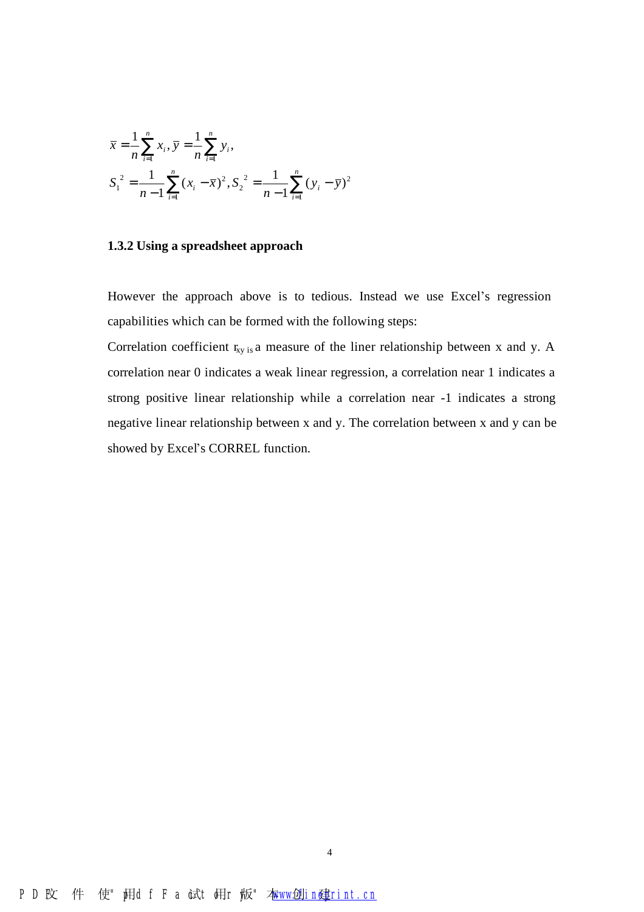$$
\overline{x} = \frac{1}{n} \sum_{i=1}^{n} x_i, \overline{y} = \frac{1}{n} \sum_{i=1}^{n} y_i,
$$
  

$$
S_1^2 = \frac{1}{n-1} \sum_{i=1}^{n} (x_i - \overline{x})^2, S_2^2 = \frac{1}{n-1} \sum_{i=1}^{n} (y_i - \overline{y})^2
$$

#### **1.3.2 Using a spreadsheet approach**

However the approach above is to tedious. Instead we use Excel's regression capabilities which can be formed with the following steps:

Correlation coefficient  $r_{xy}$  is a measure of the liner relationship between x and y. A correlation near 0 indicates a weak linear regression, a correlation near 1 indicates a strong positive linear relationship while a correlation near -1 indicates a strong negative linear relationship between x and y. The correlation between x and y can be showed by Excel's CORREL function.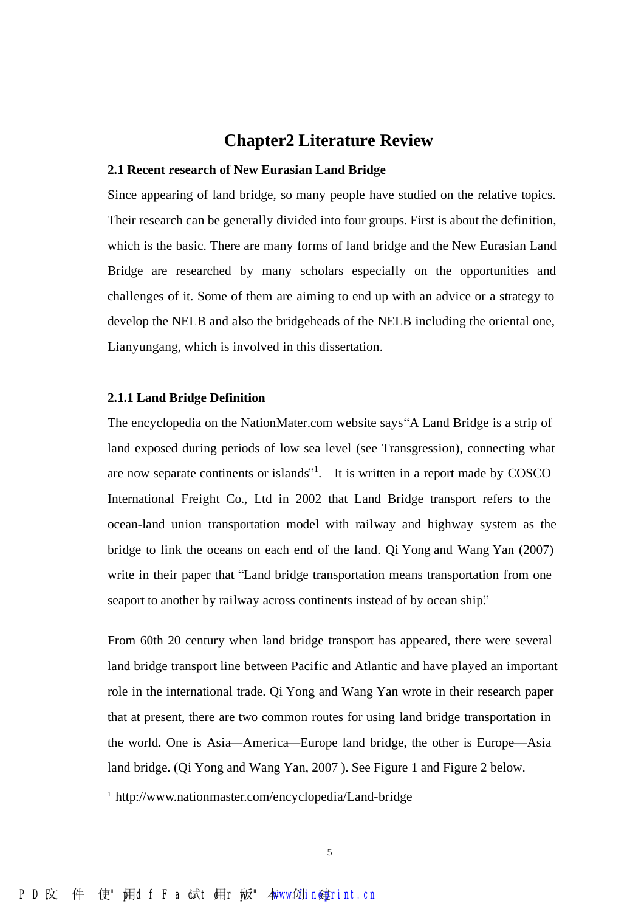## **Chapter2 Literature Review**

#### **2.1 Recent research of New Eurasian Land Bridge**

Since appearing of land bridge, so many people have studied on the relative topics. Their research can be generally divided into four groups. First is about the definition, which is the basic. There are many forms of land bridge and the New Eurasian Land Bridge are researched by many scholars especially on the opportunities and challenges of it. Some of them are aiming to end up with an advice or a strategy to develop the NELB and also the bridgeheads of the NELB including the oriental one, Lianyungang, which is involved in this dissertation.

#### **2.1.1 Land Bridge Definition**

The encyclopedia on the NationMater.com website says "A Land Bridge is a strip of land exposed during periods of low sea level (see Transgression), connecting what are now separate continents or islands<sup>"1</sup>. It is written in a report made by COSCO International Freight Co., Ltd in 2002 that Land Bridge transport refers to the ocean-land union transportation model with railway and highway system as the bridge to link the oceans on each end of the land. Qi Yong and Wang Yan (2007) write in their paper that "Land bridge transportation means transportation from one seaport to another by railway across continents instead of by ocean ship."

From 60th 20 century when land bridge transport has appeared, there were several land bridge transport line between Pacific and Atlantic and have played an important role in the international trade. Qi Yong and Wang Yan wrote in their research paper that at present, there are two common routes for using land bridge transportation in the world. One is Asia—America—Europe land bridge, the other is Europe—Asia land bridge. (Qi Yong and Wang Yan, 2007 ). See Figure 1 and Figure 2 below.

 $\overline{a}$ 

<sup>1</sup> <http://www.nationmaster.com/encyclopedia/Land-bridge>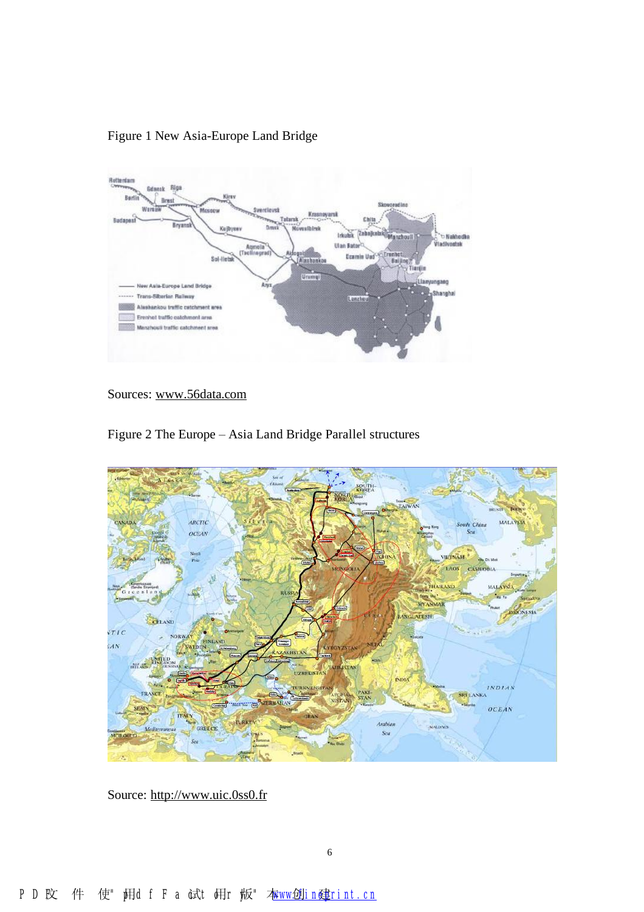

Figure 1 New Asia-Europe Land Bridge

Sources: [www.56data.com](http://www.56data.com)





Source: <http://www.uic.0ss0.fr>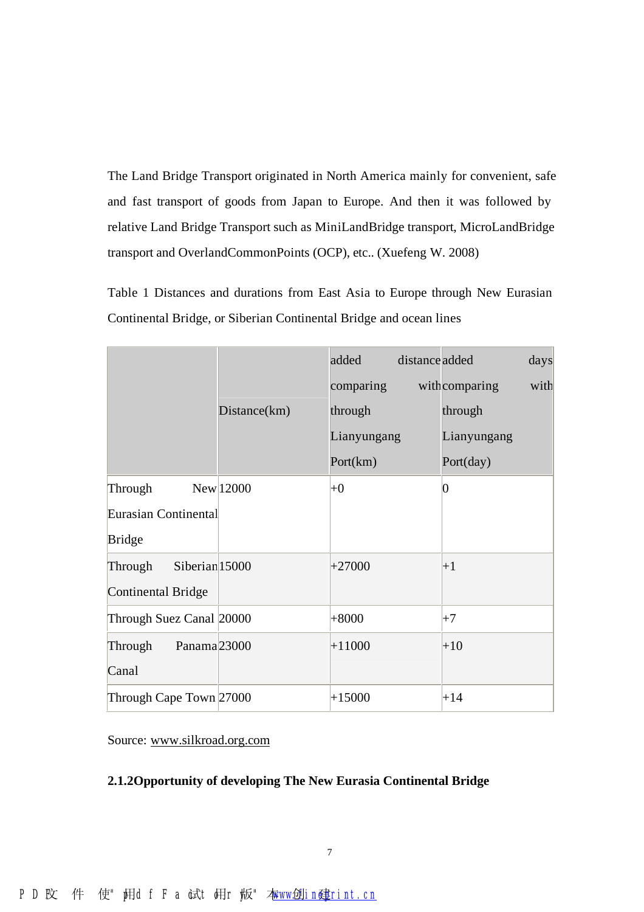The Land Bridge Transport originated in North America mainly for convenient, safe and fast transport of goods from Japan to Europe. And then it was followed by relative Land Bridge Transport such as MiniLandBridge transport, MicroLandBridge transport and OverlandCommonPoints (OCP), etc.. (Xuefeng W. 2008)

Table 1 Distances and durations from East Asia to Europe through New Eurasian Continental Bridge, or Siberian Continental Bridge and ocean lines

|                                      |              | added       | distance added |                 | days |
|--------------------------------------|--------------|-------------|----------------|-----------------|------|
|                                      |              | comparing   |                | withcomparing   | with |
|                                      | Distance(km) | through     |                | through         |      |
|                                      |              | Lianyungang |                | Lianyungang     |      |
|                                      |              | Port(km)    |                | Port(day)       |      |
| Through                              | New 12000    | $+0$        |                | $\vert 0 \vert$ |      |
| Eurasian Continental                 |              |             |                |                 |      |
| <b>Bridge</b>                        |              |             |                |                 |      |
| Siberian <sub>15000</sub><br>Through |              | $+27000$    |                | $+1$            |      |
| <b>Continental Bridge</b>            |              |             |                |                 |      |
| Through Suez Canal 20000             |              | $+8000$     |                | $+7$            |      |
| Panama <sub>23000</sub><br>Through   |              | $+11000$    |                | $+10$           |      |
| Canal                                |              |             |                |                 |      |
| Through Cape Town 27000              |              | $+15000$    |                | $+14$           |      |

Source: [www.silkroad.org.com](http://www.silkroad.org.com)

#### **2.1.2Opportunity of developing The New Eurasia Continental Bridge**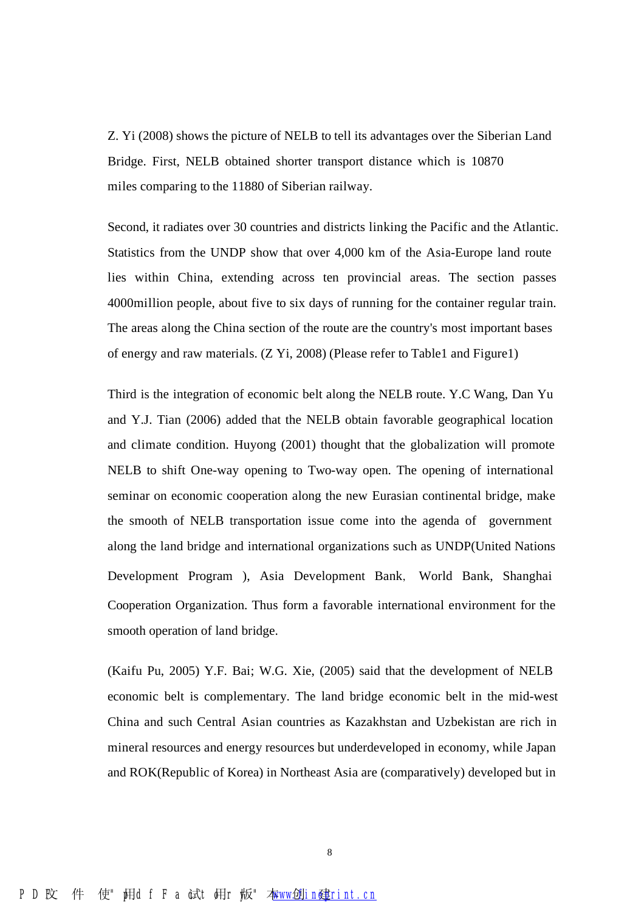Z. Yi (2008) shows the picture of NELB to tell its advantages over the Siberian Land Bridge. First, NELB obtained shorter transport distance which is 10870 miles comparing to the 11880 of Siberian railway.

Second, it radiates over 30 countries and districts linking the Pacific and the Atlantic. Statistics from the UNDP show that over 4,000 km of the Asia-Europe land route lies within China, extending across ten provincial areas. The section passes 4000million people, about five to six days of running for the container regular train. The areas along the China section of the route are the country's most important bases of energy and raw materials. (Z Yi, 2008) (Please refer to Table1 and Figure1)

Third is the integration of economic belt along the NELB route. Y.C Wang, Dan Yu and Y.J. Tian (2006) added that the NELB obtain favorable geographical location and climate condition. Huyong (2001) thought that the globalization will promote NELB to shift One-way opening to Two-way open. The opening of international seminar on economic cooperation along the new Eurasian continental bridge, make the smooth of NELB transportation issue come into the agenda of government along the land bridge and international organizations such as UNDP(United Nations Development Program ), Asia Development Bank, World Bank, Shanghai Cooperation Organization. Thus form a favorable international environment for the smooth operation of land bridge.

(Kaifu Pu, 2005) Y.F. Bai; W.G. Xie, (2005) said that the development of NELB economic belt is complementary. The land bridge economic belt in the mid-west China and such Central Asian countries as Kazakhstan and Uzbekistan are rich in mineral resources and energy resources but underdeveloped in economy, while Japan and ROK(Republic of Korea) in Northeast Asia are (comparatively) developed but in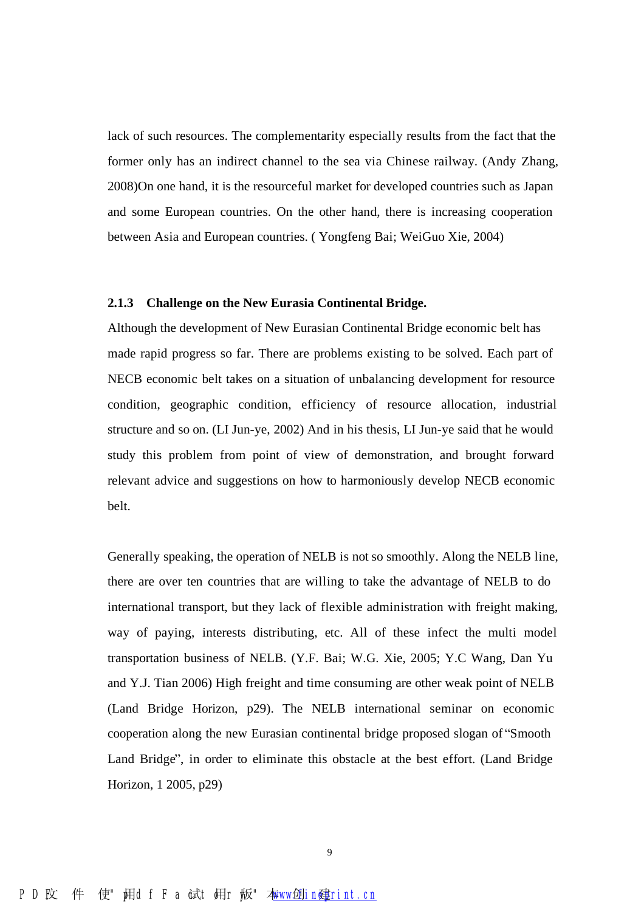lack of such resources. The complementarity especially results from the fact that the former only has an indirect channel to the sea via Chinese railway. (Andy Zhang, 2008)On one hand, it is the resourceful market for developed countries such as Japan and some European countries. On the other hand, there is increasing cooperation between Asia and European countries. ( Yongfeng Bai; WeiGuo Xie, 2004)

#### **2.1.3 Challenge on the New Eurasia Continental Bridge.**

Although the development of New Eurasian Continental Bridge economic belt has made rapid progress so far. There are problems existing to be solved. Each part of NECB economic belt takes on a situation of unbalancing development for resource condition, geographic condition, efficiency of resource allocation, industrial structure and so on. (LI Jun-ye, 2002) And in his thesis, LI Jun-ye said that he would study this problem from point of view of demonstration, and brought forward relevant advice and suggestions on how to harmoniously develop NECB economic belt.

Generally speaking, the operation of NELB is not so smoothly. Along the NELB line, there are over ten countries that are willing to take the advantage of NELB to do international transport, but they lack of flexible administration with freight making, way of paying, interests distributing, etc. All of these infect the multi model transportation business of NELB. (Y.F. Bai; W.G. Xie, 2005; Y.C Wang, Dan Yu and Y.J. Tian 2006) High freight and time consuming are other weak point of NELB (Land Bridge Horizon, p29). The NELB international seminar on economic cooperation along the new Eurasian continental bridge proposed slogan of "Smooth Land Bridge", in order to eliminate this obstacle at the best effort. (Land Bridge Horizon, 1 2005, p29)

9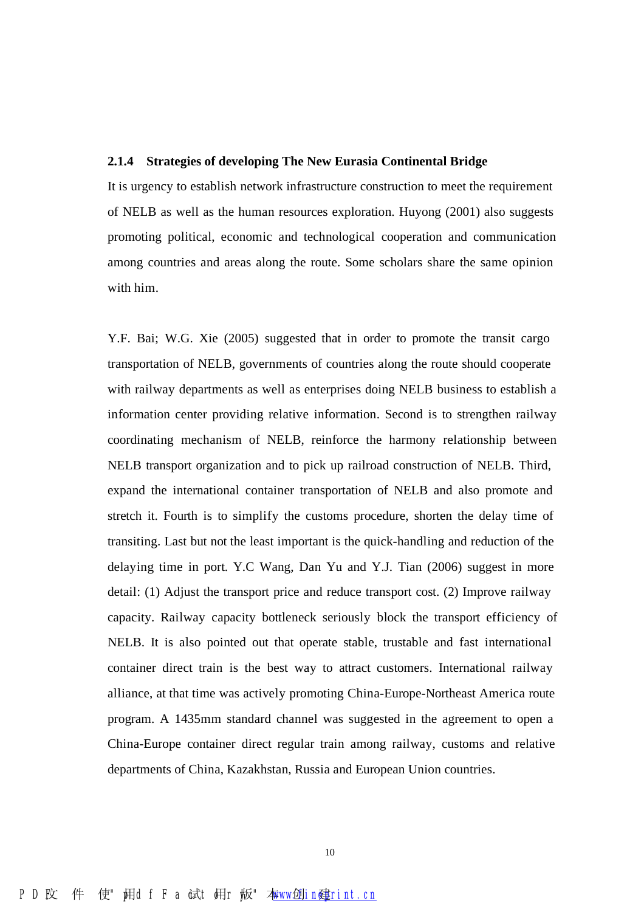#### **2.1.4 Strategies of developing The New Eurasia Continental Bridge**

It is urgency to establish network infrastructure construction to meet the requirement of NELB as well as the human resources exploration. Huyong (2001) also suggests promoting political, economic and technological cooperation and communication among countries and areas along the route. Some scholars share the same opinion with him.

Y.F. Bai; W.G. Xie (2005) suggested that in order to promote the transit cargo transportation of NELB, governments of countries along the route should cooperate with railway departments as well as enterprises doing NELB business to establish a information center providing relative information. Second is to strengthen railway coordinating mechanism of NELB, reinforce the harmony relationship between NELB transport organization and to pick up railroad construction of NELB. Third, expand the international container transportation of NELB and also promote and stretch it. Fourth is to simplify the customs procedure, shorten the delay time of transiting. Last but not the least important is the quick-handling and reduction of the delaying time in port. Y.C Wang, Dan Yu and Y.J. Tian (2006) suggest in more detail: (1) Adjust the transport price and reduce transport cost. (2) Improve railway capacity. Railway capacity bottleneck seriously block the transport efficiency of NELB. It is also pointed out that operate stable, trustable and fast international container direct train is the best way to attract customers. International railway alliance, at that time was actively promoting China-Europe-Northeast America route program. A 1435mm standard channel was suggested in the agreement to open a China-Europe container direct regular train among railway, customs and relative departments of China, Kazakhstan, Russia and European Union countries.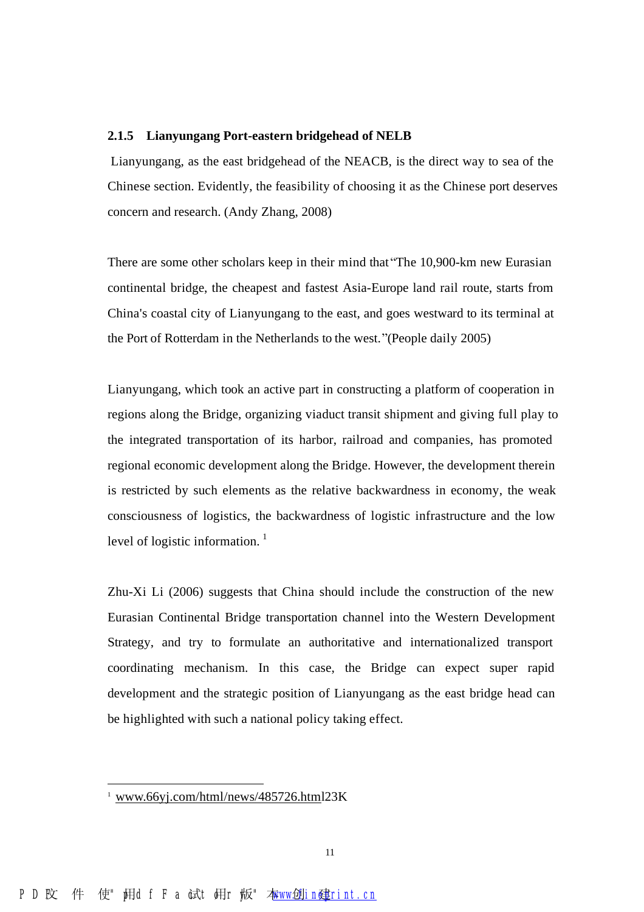#### **2.1.5 Lianyungang Port-eastern bridgehead of NELB**

Lianyungang, as the east bridgehead of the NEACB, is the direct way to sea of the Chinese section. Evidently, the feasibility of choosing it as the Chinese port deserves concern and research. (Andy Zhang, 2008)

There are some other scholars keep in their mind that "The 10,900-km new Eurasian continental bridge, the cheapest and fastest Asia-Europe land rail route, starts from China's coastal city of Lianyungang to the east, and goes westward to its terminal at the Port of Rotterdam in the Netherlands to the west."(People daily 2005)

Lianyungang, which took an active part in constructing a platform of cooperation in regions along the Bridge, organizing viaduct transit shipment and giving full play to the integrated transportation of its harbor, railroad and companies, has promoted regional economic development along the Bridge. However, the development therein is restricted by such elements as the relative backwardness in economy, the weak consciousness of logistics, the backwardness of logistic infrastructure and the low level of logistic information.<sup>1</sup>

Zhu-Xi Li (2006) suggests that China should include the construction of the new Eurasian Continental Bridge transportation channel into the Western Development Strategy, and try to formulate an authoritative and internationalized transport coordinating mechanism. In this case, the Bridge can expect super rapid development and the strategic position of Lianyungang as the east bridge head can be highlighted with such a national policy taking effect.

 $\overline{a}$ 

[www.66yj.com/html/news/485726.html](http://www.66yj.com/html/news/485726.html) 23K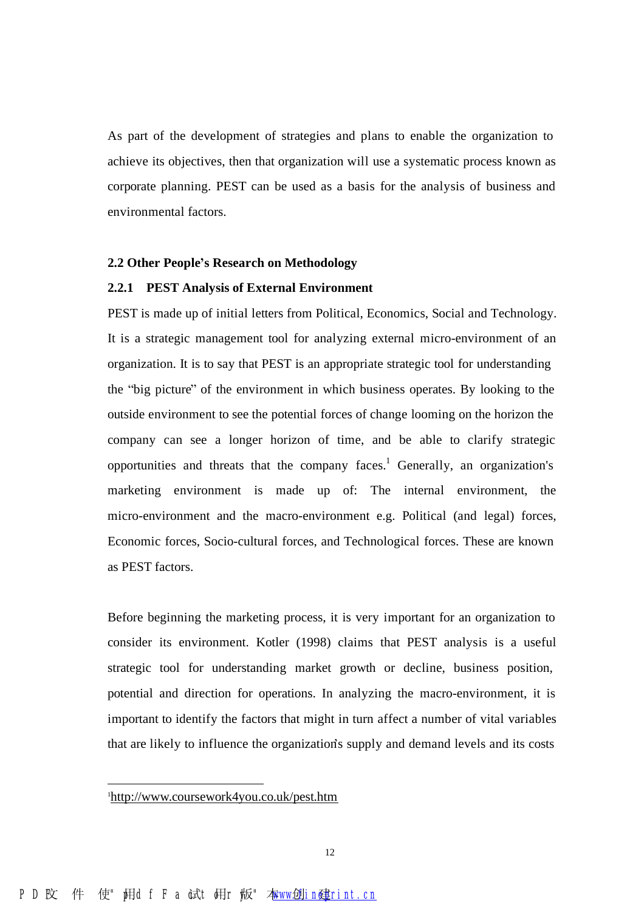As part of the development of strategies and plans to enable the organization to achieve its objectives, then that organization will use a systematic process known as corporate planning. PEST can be used as a basis for the analysis of business and environmental factors.

#### **2.2 Other People's Research on Methodology**

#### **2.2.1 PEST Analysis of External Environment**

PEST is made up of initial letters from Political, Economics, Social and Technology. It is a strategic management tool for analyzing external micro-environment of an organization. It is to say that PEST is an appropriate strategic tool for understanding the "big picture" of the environment in which business operates. By looking to the outside environment to see the potential forces of change looming on the horizon the company can see a longer horizon of time, and be able to clarify strategic opportunities and threats that the company faces. <sup>1</sup> Generally, an organization's marketing environment is made up of: The internal environment, the micro-environment and the macro-environment e.g. Political (and legal) forces, Economic forces, Socio-cultural forces, and Technological forces. These are known as PEST factors.

Before beginning the marketing process, it is very important for an organization to consider its environment. Kotler (1998) claims that PEST analysis is a useful strategic tool for understanding market growth or decline, business position, potential and direction for operations. In analyzing the macro-environment, it is important to identify the factors that might in turn affect a number of vital variables that are likely to influence the organization's supply and demand levels and its costs

 $\overline{a}$ 

<sup>1</sup><http://www.coursework4you.co.uk/pest.htm>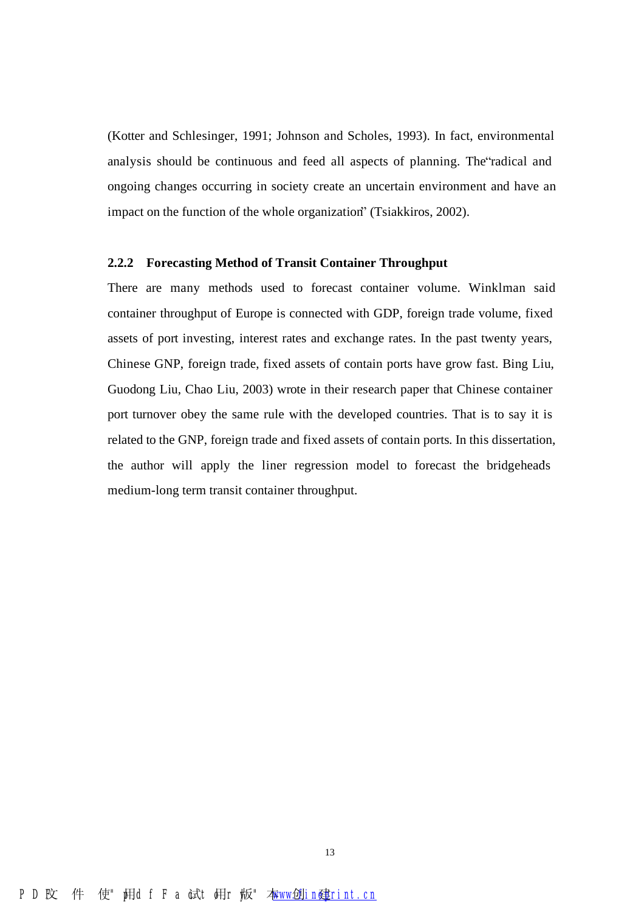(Kotter and Schlesinger, 1991; Johnson and Scholes, 1993). In fact, environmental analysis should be continuous and feed all aspects of planning. The "radical and ongoing changes occurring in society create an uncertain environment and have an impact on the function of the whole organization" (Tsiakkiros, 2002).

#### **2.2.2 Forecasting Method of Transit Container Throughput**

There are many methods used to forecast container volume. Winklman said container throughput of Europe is connected with GDP, foreign trade volume, fixed assets of port investing, interest rates and exchange rates. In the past twenty years, Chinese GNP, foreign trade, fixed assets of contain ports have grow fast. Bing Liu, Guodong Liu, Chao Liu, 2003) wrote in their research paper that Chinese container port turnover obey the same rule with the developed countries. That is to say it is related to the GNP, foreign trade and fixed assets of contain ports. In this dissertation, the author will apply the liner regression model to forecast the bridgeheads medium-long term transit container throughput.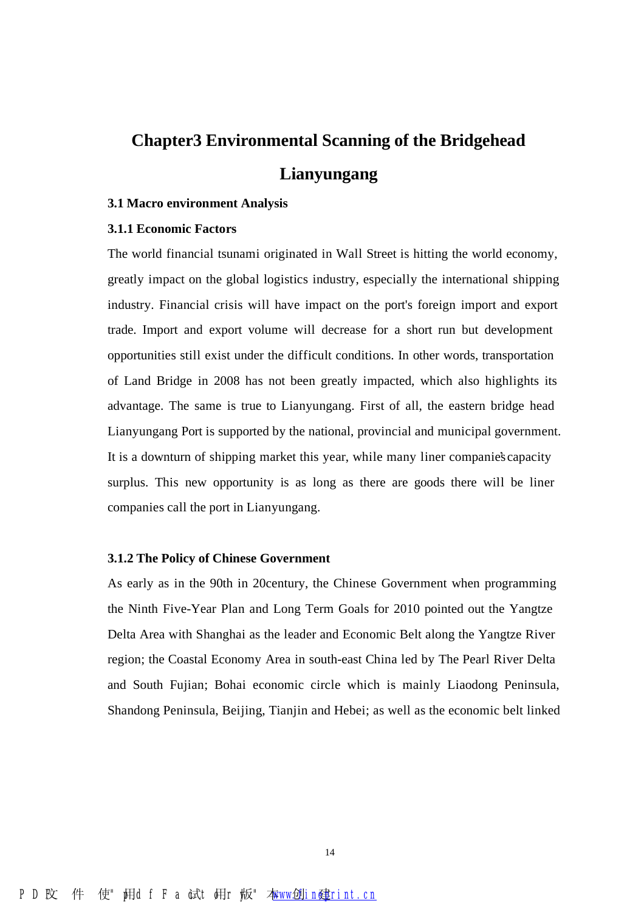## **Chapter3 Environmental Scanning of the Bridgehead Lianyungang**

#### **3.1 Macro environment Analysis**

#### **3.1.1 Economic Factors**

The world financial tsunami originated in Wall Street is hitting the world economy, greatly impact on the global logistics industry, especially the international shipping industry. Financial crisis will have impact on the port's foreign import and export trade. Import and export volume will decrease for a short run but development opportunities still exist under the difficult conditions. In other words, transportation of Land Bridge in 2008 has not been greatly impacted, which also highlights its advantage. The same is true to Lianyungang. First of all, the eastern bridge head Lianyungang Port is supported by the national, provincial and municipal government. It is a downturn of shipping market this year, while many liner companies' capacity surplus. This new opportunity is as long as there are goods there will be liner companies call the port in Lianyungang.

#### **3.1.2 The Policy of Chinese Government**

As early as in the 90th in 20century, the Chinese Government when programming the Ninth Five-Year Plan and Long Term Goals for 2010 pointed out the Yangtze Delta Area with Shanghai as the leader and Economic Belt along the Yangtze River region; the Coastal Economy Area in south-east China led by The Pearl River Delta and South Fujian; Bohai economic circle which is mainly Liaodong Peninsula, Shandong Peninsula, Beijing, Tianjin and Hebei; as well as the economic belt linked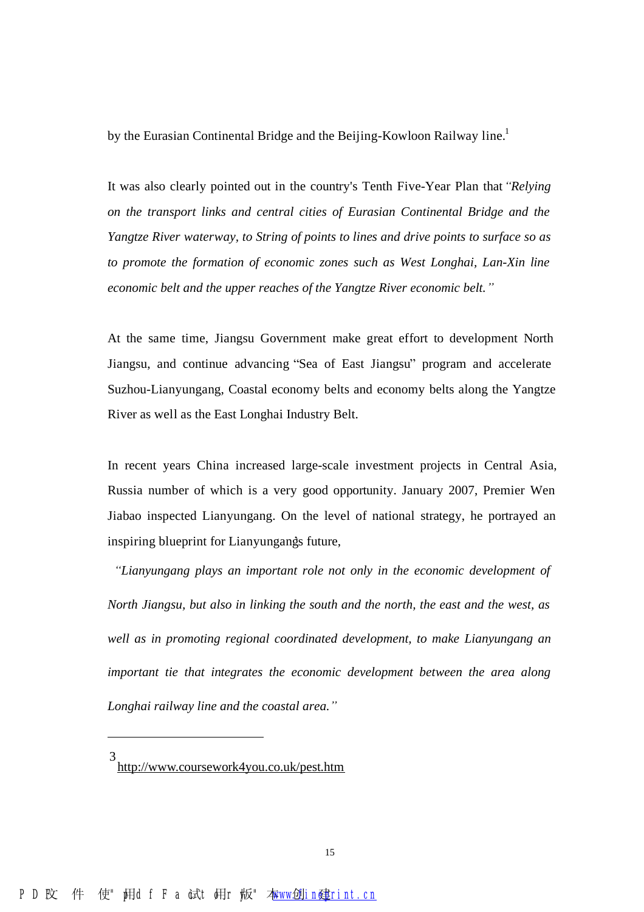by the Eurasian Continental Bridge and the Beijing-Kowloon Railway line.<sup>1</sup>

It was also clearly pointed out in the country's Tenth Five-Year Plan that *"Relying on the transport links and central cities of Eurasian Continental Bridge and the Yangtze River waterway, to String of points to lines and drive points to surface so as to promote the formation of economic zones such as West Longhai, Lan-Xin line economic belt and the upper reaches of the Yangtze River economic belt."*

At the same time, Jiangsu Government make great effort to development North Jiangsu, and continue advancing "Sea of East Jiangsu" program and accelerate Suzhou-Lianyungang, Coastal economy belts and economy belts along the Yangtze River as well as the East Longhai Industry Belt.

In recent years China increased large-scale investment projects in Central Asia, Russia number of which is a very good opportunity. January 2007, Premier Wen Jiabao inspected Lianyungang. On the level of national strategy, he portrayed an inspiring blueprint for Lianyungangs future,

*"Lianyungang plays an important role not only in the economic development of North Jiangsu, but also in linking the south and the north, the east and the west, as well as in promoting regional coordinated development, to make Lianyungang an important tie that integrates the economic development between the area along Longhai railway line and the coastal area."*

l

<sup>3</sup> <http://www.coursework4you.co.uk/pest.htm>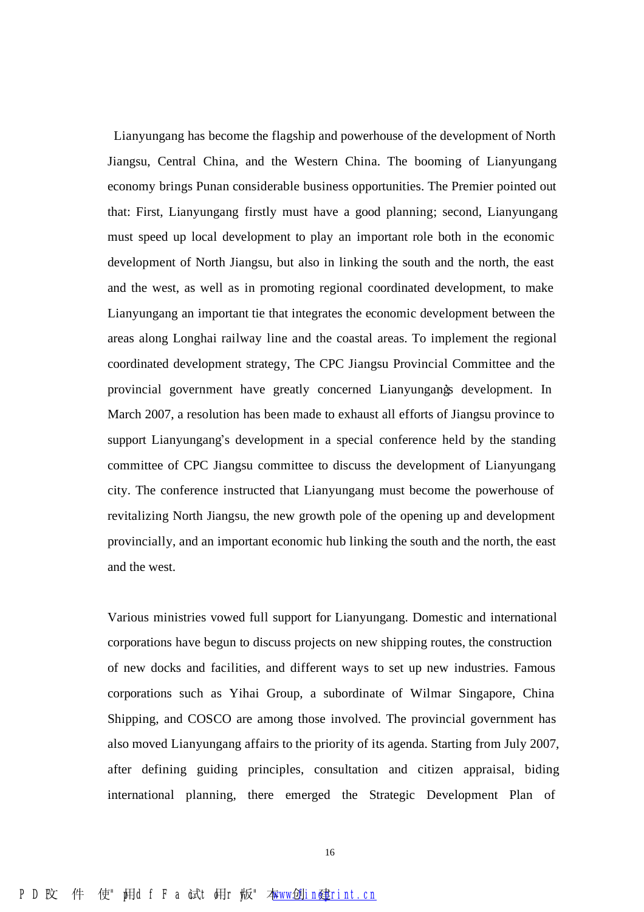Lianyungang has become the flagship and powerhouse of the development of North Jiangsu, Central China, and the Western China. The booming of Lianyungang economy brings Punan considerable business opportunities. The Premier pointed out that: First, Lianyungang firstly must have a good planning; second, Lianyungang must speed up local development to play an important role both in the economic development of North Jiangsu, but also in linking the south and the north, the east and the west, as well as in promoting regional coordinated development, to make Lianyungang an important tie that integrates the economic development between the areas along Longhai railway line and the coastal areas. To implement the regional coordinated development strategy, The CPC Jiangsu Provincial Committee and the provincial government have greatly concerned Lianyungang's development. In March 2007, a resolution has been made to exhaust all efforts of Jiangsu province to support Lianyungang's development in a special conference held by the standing committee of CPC Jiangsu committee to discuss the development of Lianyungang city. The conference instructed that Lianyungang must become the powerhouse of revitalizing North Jiangsu, the new growth pole of the opening up and development provincially, and an important economic hub linking the south and the north, the east and the west.

Various ministries vowed full support for Lianyungang. Domestic and international corporations have begun to discuss projects on new shipping routes, the construction of new docks and facilities, and different ways to set up new industries. Famous corporations such as Yihai Group, a subordinate of Wilmar Singapore, China Shipping, and COSCO are among those involved. The provincial government has also moved Lianyungang affairs to the priority of its agenda. Starting from July 2007, after defining guiding principles, consultation and citizen appraisal, biding international planning, there emerged the Strategic Development Plan of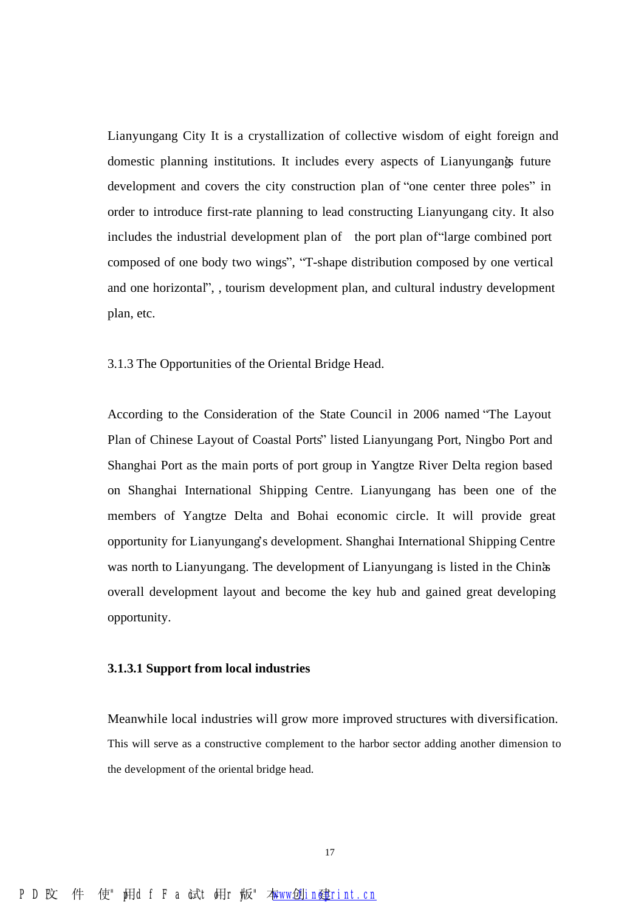Lianyungang City It is a crystallization of collective wisdom of eight foreign and domestic planning institutions. It includes every aspects of Lianyungangs future development and covers the city construction plan of "one center three poles" in order to introduce first-rate planning to lead constructing Lianyungang city. It also includes the industrial development plan of the port plan of "large combined port" composed of one body two wings", "T-shape distribution composed by one vertical and one horizontal", , tourism development plan, and cultural industry development plan, etc.

3.1.3 The Opportunities of the Oriental Bridge Head.

According to the Consideration of the State Council in 2006 named "The Layout Plan of Chinese Layout of Coastal Ports" listed Lianyungang Port, Ningbo Port and Shanghai Port as the main ports of port group in Yangtze River Delta region based on Shanghai International Shipping Centre. Lianyungang has been one of the members of Yangtze Delta and Bohai economic circle. It will provide great opportunity for Lianyungang's development. Shanghai International Shipping Centre was north to Lianyungang. The development of Lianyungang is listed in the Chinas overall development layout and become the key hub and gained great developing opportunity.

#### **3.1.3.1 Support from local industries**

Meanwhile local industries will grow more improved structures with diversification. This will serve as a constructive complement to the harbor sector adding another dimension to the development of the oriental bridge head.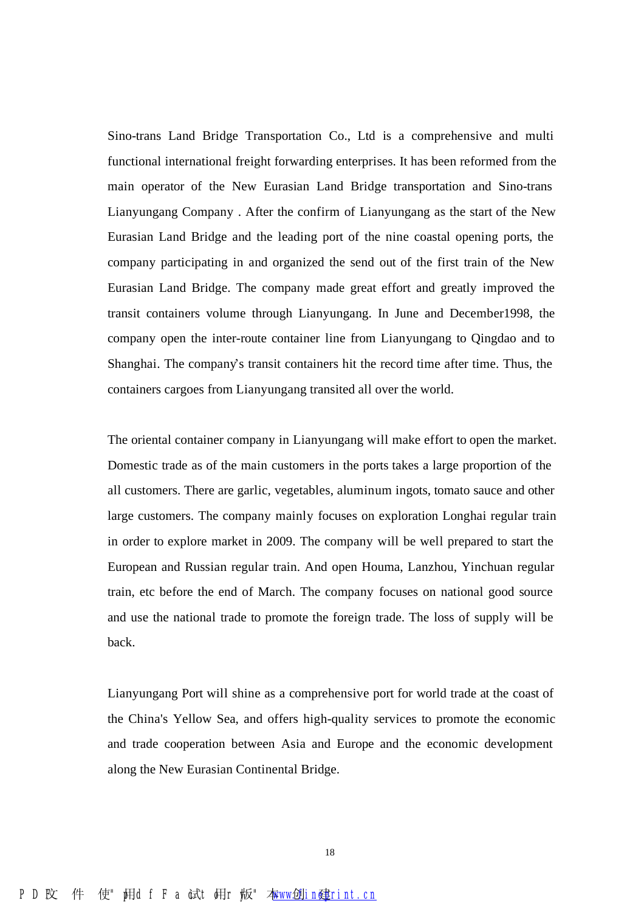Sino-trans Land Bridge Transportation Co., Ltd is a comprehensive and multi functional international freight forwarding enterprises. It has been reformed from the main operator of the New Eurasian Land Bridge transportation and Sino-trans Lianyungang Company . After the confirm of Lianyungang as the start of the New Eurasian Land Bridge and the leading port of the nine coastal opening ports, the company participating in and organized the send out of the first train of the New Eurasian Land Bridge. The company made great effort and greatly improved the transit containers volume through Lianyungang. In June and December1998, the company open the inter-route container line from Lianyungang to Qingdao and to Shanghai. The company's transit containers hit the record time after time. Thus, the containers cargoes from Lianyungang transited all over the world.

The oriental container company in Lianyungang will make effort to open the market. Domestic trade as of the main customers in the ports takes a large proportion of the all customers. There are garlic, vegetables, aluminum ingots, tomato sauce and other large customers. The company mainly focuses on exploration Longhai regular train in order to explore market in 2009. The company will be well prepared to start the European and Russian regular train. And open Houma, Lanzhou, Yinchuan regular train, etc before the end of March. The company focuses on national good source and use the national trade to promote the foreign trade. The loss of supply will be back.

Lianyungang Port will shine as a comprehensive port for world trade at the coast of the China's Yellow Sea, and offers high-quality services to promote the economic and trade cooperation between Asia and Europe and the economic development along the New Eurasian Continental Bridge.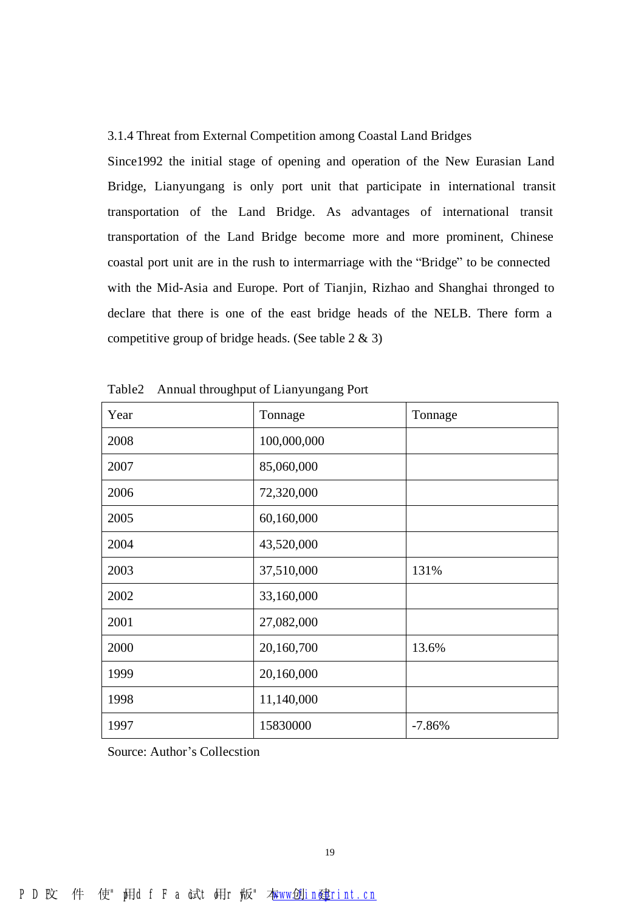#### 3.1.4 Threat from External Competition among Coastal Land Bridges

Since1992 the initial stage of opening and operation of the New Eurasian Land Bridge, Lianyungang is only port unit that participate in international transit transportation of the Land Bridge. As advantages of international transit transportation of the Land Bridge become more and more prominent, Chinese coastal port unit are in the rush to intermarriage with the "Bridge" to be connected with the Mid-Asia and Europe. Port of Tianjin, Rizhao and Shanghai thronged to declare that there is one of the east bridge heads of the NELB. There form a competitive group of bridge heads. (See table 2 & 3)

| Year | Tonnage     | Tonnage  |
|------|-------------|----------|
| 2008 | 100,000,000 |          |
| 2007 | 85,060,000  |          |
| 2006 | 72,320,000  |          |
| 2005 | 60,160,000  |          |
| 2004 | 43,520,000  |          |
| 2003 | 37,510,000  | 131%     |
| 2002 | 33,160,000  |          |
| 2001 | 27,082,000  |          |
| 2000 | 20,160,700  | 13.6%    |
| 1999 | 20,160,000  |          |
| 1998 | 11,140,000  |          |
| 1997 | 15830000    | $-7.86%$ |

| Table2 |  | Annual throughput of Lianyungang Port |  |
|--------|--|---------------------------------------|--|
|        |  |                                       |  |

Source: Author's Collecstion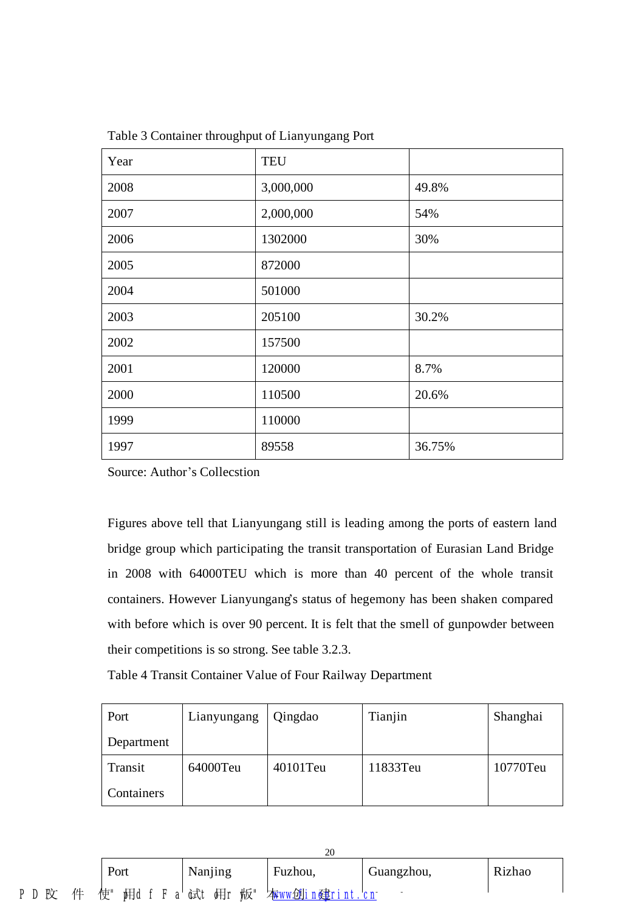| Year | <b>TEU</b> |        |
|------|------------|--------|
| 2008 | 3,000,000  | 49.8%  |
| 2007 | 2,000,000  | 54%    |
| 2006 | 1302000    | 30%    |
| 2005 | 872000     |        |
| 2004 | 501000     |        |
| 2003 | 205100     | 30.2%  |
| 2002 | 157500     |        |
| 2001 | 120000     | 8.7%   |
| 2000 | 110500     | 20.6%  |
| 1999 | 110000     |        |
| 1997 | 89558      | 36.75% |

Table 3 Container throughput of Lianyungang Port

Source: Author's Collecstion

Figures above tell that Lianyungang still is leading among the ports of eastern land bridge group which participating the transit transportation of Eurasian Land Bridge in 2008 with 64000TEU which is more than 40 percent of the whole transit containers. However Lianyungang's status of hegemony has been shaken compared with before which is over 90 percent. It is felt that the smell of gunpowder between their competitions is so strong. See table 3.2.3.

Table 4 Transit Container Value of Four Railway Department

| Port       | Lianyungang | Qingdao  | Tianjin  | Shanghai |
|------------|-------------|----------|----------|----------|
| Department |             |          |          |          |
| Transit    | 64000Teu    | 40101Teu | 11833Teu | 10770Teu |
| Containers |             |          |          |          |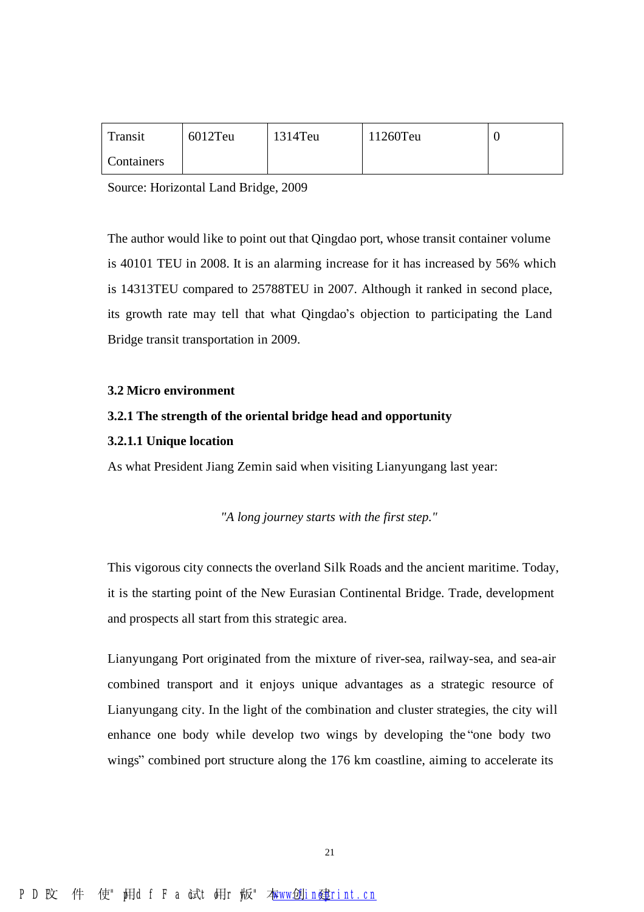| Transit    | 6012Teu | $1314$ Teu | 11260Teu |  |
|------------|---------|------------|----------|--|
| Containers |         |            |          |  |

Source: Horizontal Land Bridge, 2009

The author would like to point out that Qingdao port, whose transit container volume is 40101 TEU in 2008. It is an alarming increase for it has increased by 56% which is 14313TEU compared to 25788TEU in 2007. Although it ranked in second place, its growth rate may tell that what Qingdao's objection to participating the Land Bridge transit transportation in 2009.

#### **3.2 Micro environment**

#### **3.2.1 The strength of the oriental bridge head and opportunity**

#### **3.2.1.1 Unique location**

As what President Jiang Zemin said when visiting Lianyungang last year:

*"A long journey starts with the first step."* 

This vigorous city connects the overland Silk Roads and the ancient maritime. Today, it is the starting point of the New Eurasian Continental Bridge. Trade, development and prospects all start from this strategic area.

Lianyungang Port originated from the mixture of river-sea, railway-sea, and sea-air combined transport and it enjoys unique advantages as a strategic resource of Lianyungang city. In the light of the combination and cluster strategies, the city will enhance one body while develop two wings by developing the "one body two wings" combined port structure along the 176 km coastline, aiming to accelerate its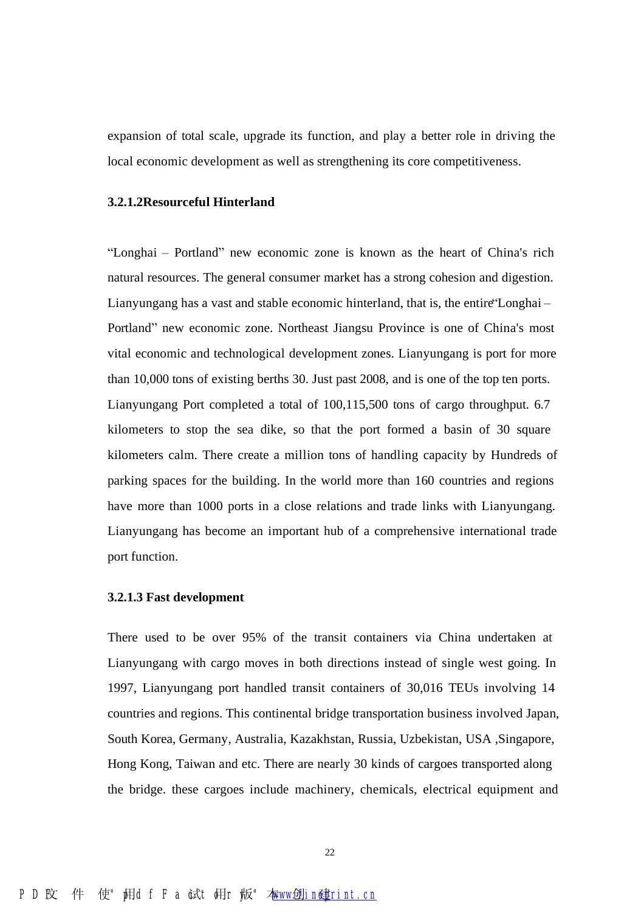expansion of total scale, upgrade its function, and play a better role in driving the local economic development as well as strengthening its core competitiveness.

#### **3.2.1.2Resourceful Hinterland**

"Longhai – Portland" new economic zone is known as the heart of China's rich natural resources. The general consumer market has a strong cohesion and digestion. Lianyungang has a vast and stable economic hinterland, that is, the entire "Longhai-Portland" new economic zone. Northeast Jiangsu Province is one of China's most vital economic and technological development zones. Lianyungang is port for more than 10,000 tons of existing berths 30. Just past 2008, and is one of the top ten ports. Lianyungang Port completed a total of 100,115,500 tons of cargo throughput. 6.7 kilometers to stop the sea dike, so that the port formed a basin of 30 square kilometers calm. There create a million tons of handling capacity by Hundreds of parking spaces for the building. In the world more than 160 countries and regions have more than 1000 ports in a close relations and trade links with Lianyungang. Lianyungang has become an important hub of a comprehensive international trade port function.

#### **3.2.1.3 Fast development**

There used to be over 95% of the transit containers via China undertaken at Lianyungang with cargo moves in both directions instead of single west going. In 1997, Lianyungang port handled transit containers of 30,016 TEUs involving 14 countries and regions. This continental bridge transportation business involved Japan, South Korea, Germany, Australia, Kazakhstan, Russia, Uzbekistan, USA ,Singapore, Hong Kong, Taiwan and etc. There are nearly 30 kinds of cargoes transported along the bridge. these cargoes include machinery, chemicals, electrical equipment and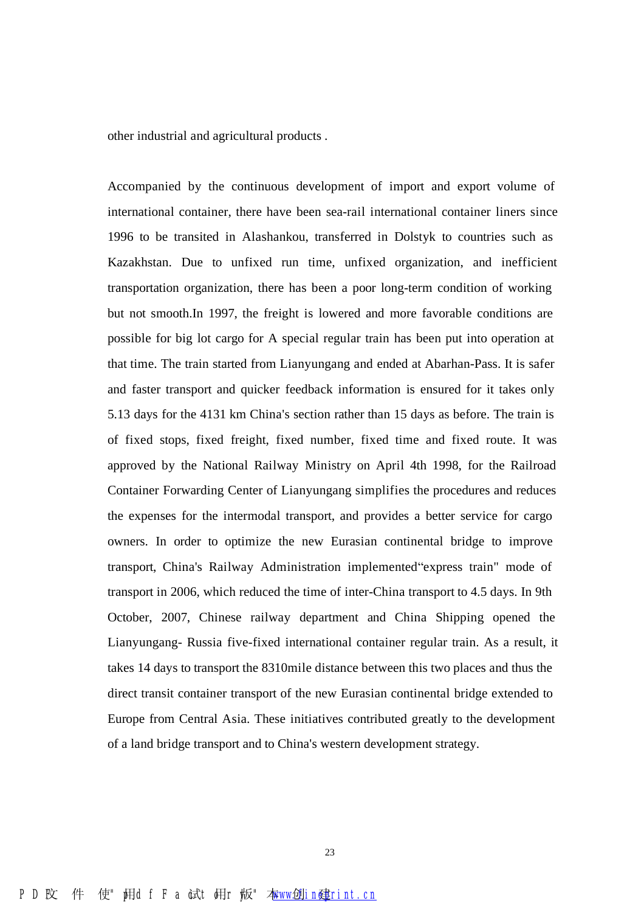other industrial and agricultural products .

Accompanied by the continuous development of import and export volume of international container, there have been sea-rail international container liners since 1996 to be transited in Alashankou, transferred in Dolstyk to countries such as Kazakhstan. Due to unfixed run time, unfixed organization, and inefficient transportation organization, there has been a poor long-term condition of working but not smooth.In 1997, the freight is lowered and more favorable conditions are possible for big lot cargo for A special regular train has been put into operation at that time. The train started from Lianyungang and ended at Abarhan-Pass. It is safer and faster transport and quicker feedback information is ensured for it takes only 5.13 days for the 4131 km China's section rather than 15 days as before. The train is of fixed stops, fixed freight, fixed number, fixed time and fixed route. It was approved by the National Railway Ministry on April 4th 1998, for the Railroad Container Forwarding Center of Lianyungang simplifies the procedures and reduces the expenses for the intermodal transport, and provides a better service for cargo owners. In order to optimize the new Eurasian continental bridge to improve transport, China's Railway Administration implemented "express train" mode of transport in 2006, which reduced the time of inter-China transport to 4.5 days. In 9th October, 2007, Chinese railway department and China Shipping opened the Lianyungang- Russia five-fixed international container regular train. As a result, it takes 14 days to transport the 8310mile distance between this two places and thus the direct transit container transport of the new Eurasian continental bridge extended to Europe from Central Asia. These initiatives contributed greatly to the development of a land bridge transport and to China's western development strategy.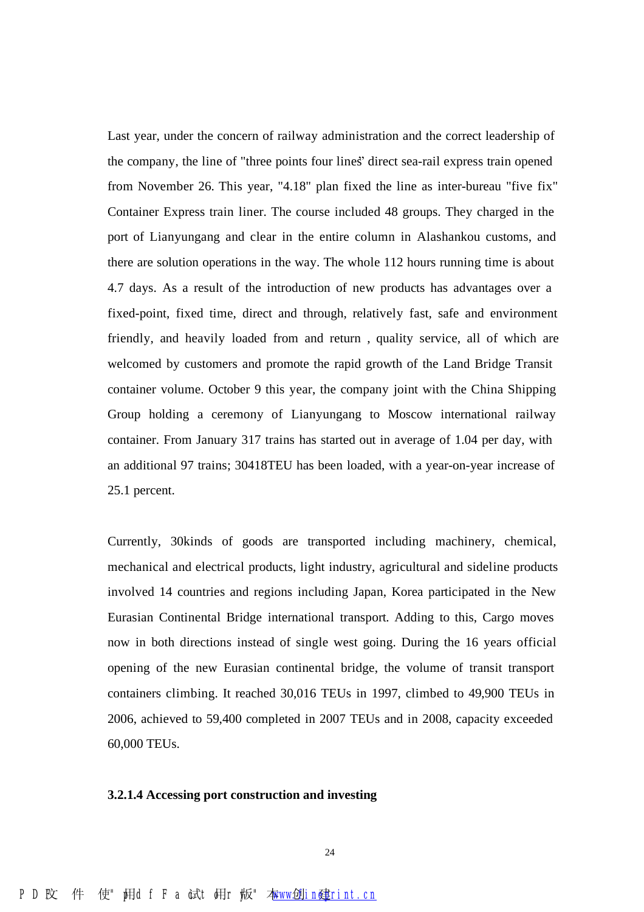Last year, under the concern of railway administration and the correct leadership of the company, the line of "three points four lines" direct sea-rail express train opened from November 26. This year, "4.18" plan fixed the line as inter-bureau "five fix" Container Express train liner. The course included 48 groups. They charged in the port of Lianyungang and clear in the entire column in Alashankou customs, and there are solution operations in the way. The whole 112 hours running time is about 4.7 days. As a result of the introduction of new products has advantages over a fixed-point, fixed time, direct and through, relatively fast, safe and environment friendly, and heavily loaded from and return , quality service, all of which are welcomed by customers and promote the rapid growth of the Land Bridge Transit container volume. October 9 this year, the company joint with the China Shipping Group holding a ceremony of Lianyungang to Moscow international railway container. From January 317 trains has started out in average of 1.04 per day, with an additional 97 trains; 30418TEU has been loaded, with a year-on-year increase of 25.1 percent.

Currently, 30kinds of goods are transported including machinery, chemical, mechanical and electrical products, light industry, agricultural and sideline products involved 14 countries and regions including Japan, Korea participated in the New Eurasian Continental Bridge international transport. Adding to this, Cargo moves now in both directions instead of single west going. During the 16 years official opening of the new Eurasian continental bridge, the volume of transit transport containers climbing. It reached 30,016 TEUs in 1997, climbed to 49,900 TEUs in 2006, achieved to 59,400 completed in 2007 TEUs and in 2008, capacity exceeded 60,000 TEUs.

#### **3.2.1.4 Accessing port construction and investing**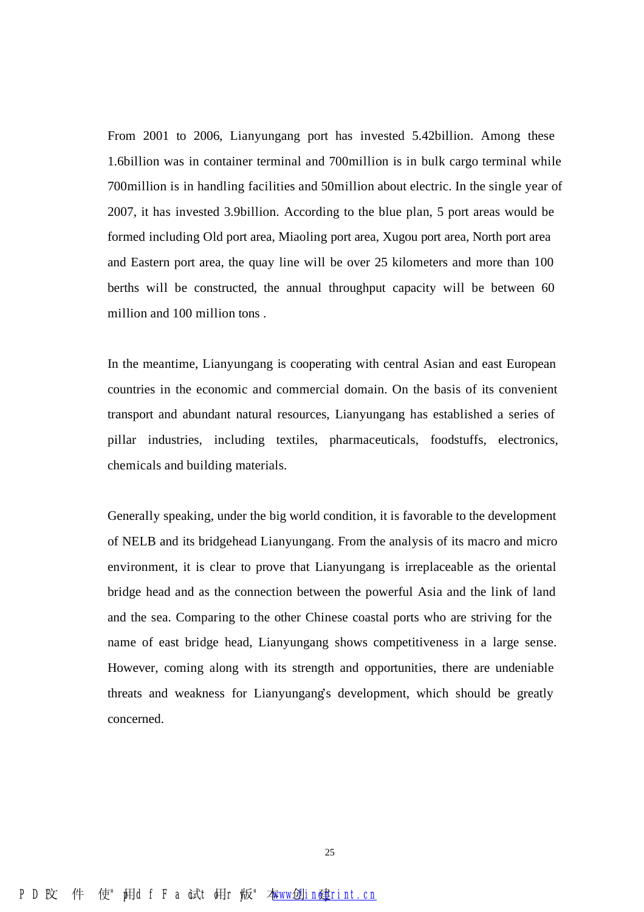From 2001 to 2006, Lianyungang port has invested 5.42billion. Among these 1.6billion was in container terminal and 700million is in bulk cargo terminal while 700million is in handling facilities and 50million about electric. In the single year of 2007, it has invested 3.9billion. According to the blue plan, 5 port areas would be formed including Old port area, Miaoling port area, Xugou port area, North port area and Eastern port area, the quay line will be over 25 kilometers and more than 100 berths will be constructed, the annual throughput capacity will be between 60 million and 100 million tons .

In the meantime, Lianyungang is cooperating with central Asian and east European countries in the economic and commercial domain. On the basis of its convenient transport and abundant natural resources, Lianyungang has established a series of pillar industries, including textiles, pharmaceuticals, foodstuffs, electronics, chemicals and building materials.

Generally speaking, under the big world condition, it is favorable to the development of NELB and its bridgehead Lianyungang. From the analysis of its macro and micro environment, it is clear to prove that Lianyungang is irreplaceable as the oriental bridge head and as the connection between the powerful Asia and the link of land and the sea. Comparing to the other Chinese coastal ports who are striving for the name of east bridge head, Lianyungang shows competitiveness in a large sense. However, coming along with its strength and opportunities, there are undeniable threats and weakness for Lianyungang's development, which should be greatly concerned.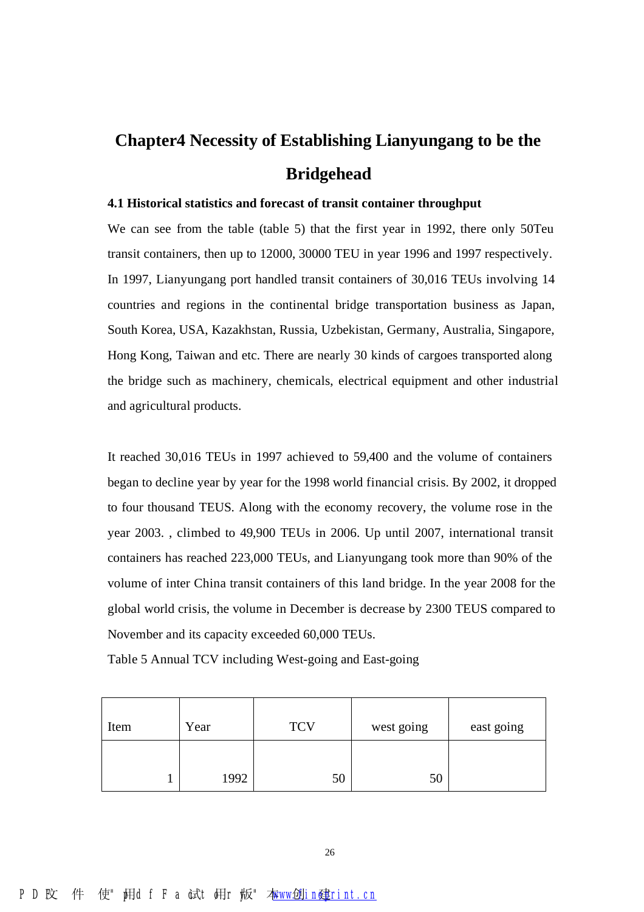## **Chapter4 Necessity of Establishing Lianyungang to be the Bridgehead**

#### **4.1 Historical statistics and forecast of transit container throughput**

We can see from the table (table 5) that the first year in 1992, there only 50Teu transit containers, then up to 12000, 30000 TEU in year 1996 and 1997 respectively. In 1997, Lianyungang port handled transit containers of 30,016 TEUs involving 14 countries and regions in the continental bridge transportation business as Japan, South Korea, USA, Kazakhstan, Russia, Uzbekistan, Germany, Australia, Singapore, Hong Kong, Taiwan and etc. There are nearly 30 kinds of cargoes transported along the bridge such as machinery, chemicals, electrical equipment and other industrial and agricultural products.

It reached 30,016 TEUs in 1997 achieved to 59,400 and the volume of containers began to decline year by year for the 1998 world financial crisis. By 2002, it dropped to four thousand TEUS. Along with the economy recovery, the volume rose in the year 2003. , climbed to 49,900 TEUs in 2006. Up until 2007, international transit containers has reached 223,000 TEUs, and Lianyungang took more than 90% of the volume of inter China transit containers of this land bridge. In the year 2008 for the global world crisis, the volume in December is decrease by 2300 TEUS compared to November and its capacity exceeded 60,000 TEUs.

Table 5 Annual TCV including West-going and East-going

| Item | Year | <b>TCV</b> | west going | east going |
|------|------|------------|------------|------------|
|      | 1992 | 50         | 50         |            |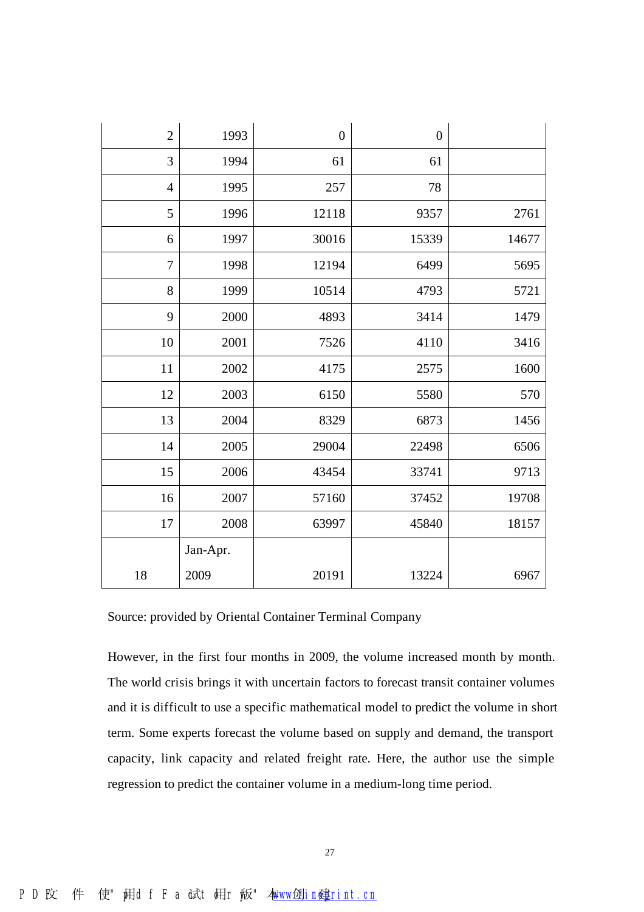| $\overline{2}$ | 1993     | $\boldsymbol{0}$ | $\boldsymbol{0}$ |       |
|----------------|----------|------------------|------------------|-------|
| 3              | 1994     | 61               | 61               |       |
| $\overline{4}$ | 1995     | 257              | 78               |       |
| 5              | 1996     | 12118            | 9357             | 2761  |
| 6              | 1997     | 30016            | 15339            | 14677 |
| $\overline{7}$ | 1998     | 12194            | 6499             | 5695  |
| 8              | 1999     | 10514            | 4793             | 5721  |
| 9              | 2000     | 4893             | 3414             | 1479  |
| 10             | 2001     | 7526             | 4110             | 3416  |
| 11             | 2002     | 4175             | 2575             | 1600  |
| 12             | 2003     | 6150             | 5580             | 570   |
| 13             | 2004     | 8329             | 6873             | 1456  |
| 14             | 2005     | 29004            | 22498            | 6506  |
| 15             | 2006     | 43454            | 33741            | 9713  |
| 16             | 2007     | 57160            | 37452            | 19708 |
| 17             | 2008     | 63997            | 45840            | 18157 |
|                | Jan-Apr. |                  |                  |       |
| 18             | 2009     | 20191            | 13224            | 6967  |

Source: provided by Oriental Container Terminal Company

However, in the first four months in 2009, the volume increased month by month. The world crisis brings it with uncertain factors to forecast transit container volumes and it is difficult to use a specific mathematical model to predict the volume in short term. Some experts forecast the volume based on supply and demand, the transport capacity, link capacity and related freight rate. Here, the author use the simple regression to predict the container volume in a medium-long time period.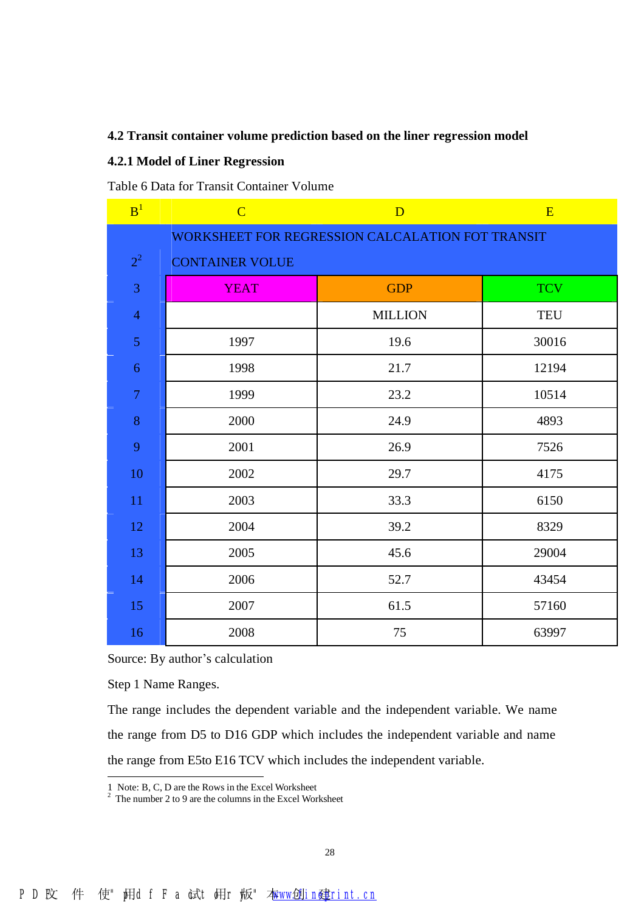#### **4.2 Transit container volume prediction based on the liner regression model**

#### **4.2.1 Model of Liner Regression**

Table 6 Data for Transit Container Volume

| B <sup>1</sup> | $\overline{C}$         | D                                                | E          |
|----------------|------------------------|--------------------------------------------------|------------|
|                |                        | WORKSHEET FOR REGRESSION CALCALATION FOT TRANSIT |            |
| $2^2$          | <b>CONTAINER VOLUE</b> |                                                  |            |
| 3              | <b>YEAT</b>            | <b>GDP</b>                                       | <b>TCV</b> |
| $\overline{4}$ |                        | <b>MILLION</b>                                   | <b>TEU</b> |
| 5              | 1997                   | 19.6                                             | 30016      |
| $\sqrt{6}$     | 1998                   | 21.7                                             | 12194      |
| $\tau$         | 1999                   | 23.2                                             | 10514      |
| 8              | 2000                   | 24.9                                             | 4893       |
| 9              | 2001                   | 26.9                                             | 7526       |
| 10             | 2002                   | 29.7                                             | 4175       |
| 11             | 2003                   | 33.3                                             | 6150       |
| 12             | 2004                   | 39.2                                             | 8329       |
| 13             | 2005                   | 45.6                                             | 29004      |
| 14             | 2006                   | 52.7                                             | 43454      |
| 15             | 2007                   | 61.5                                             | 57160      |
| 16             | 2008                   | 75                                               | 63997      |

Source: By author's calculation

Step 1 Name Ranges.

 $\overline{a}$ 

The range includes the dependent variable and the independent variable. We name the range from D5 to D16 GDP which includes the independent variable and name the range from E5to E16 TCV which includes the independent variable.

<sup>1</sup> Note: B, C, D are the Rows in the Excel Worksheet

 $2^2$  The number 2 to 9 are the columns in the Excel Worksheet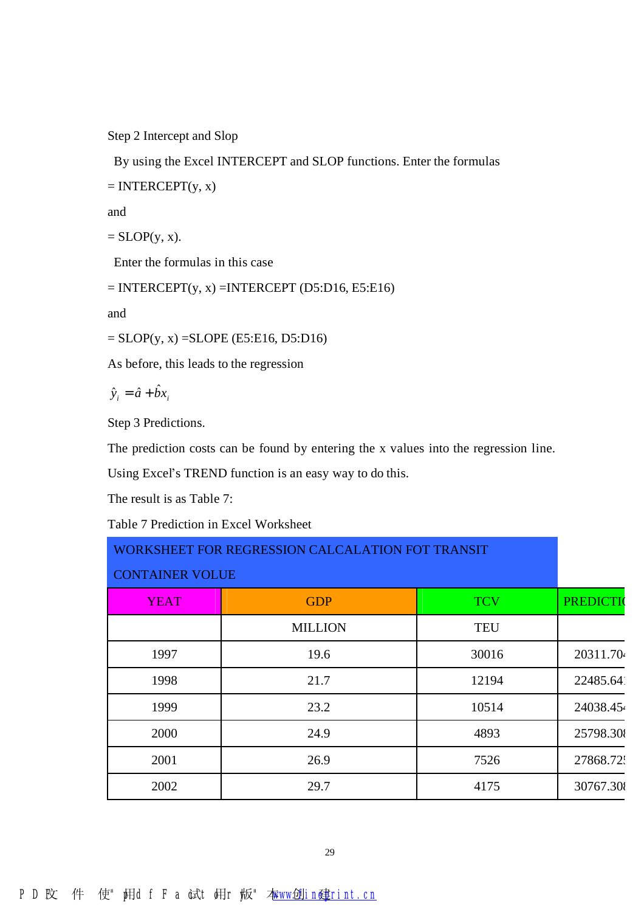Step 2 Intercept and Slop

By using the Excel INTERCEPT and SLOP functions. Enter the formulas

 $=$  INTERCEPT $(y, x)$ 

and

 $=$  SLOP(y, x).

Enter the formulas in this case

 $=$  INTERCEPT(y, x)  $=$  INTERCEPT (D5:D16, E5:E16)

and

 $=$  SLOP(y, x)  $=$  SLOPE (E5:E16, D5:D16)

As before, this leads to the regression

 $\hat{y}_i = \hat{a} + \hat{b}x_i$ 

Step 3 Predictions.

The prediction costs can be found by entering the x values into the regression line.

Using Excel's TREND function is an easy way to do this.

The result is as Table 7:

Table 7 Prediction in Excel Worksheet

| WORKSHEET FOR REGRESSION CALCALATION FOT TRANSIT |                |            |                  |  |  |
|--------------------------------------------------|----------------|------------|------------------|--|--|
| <b>CONTAINER VOLUE</b>                           |                |            |                  |  |  |
| <b>YEAT</b>                                      | <b>GDP</b>     | <b>TCV</b> | <b>PREDICTIO</b> |  |  |
|                                                  | <b>MILLION</b> | <b>TEU</b> |                  |  |  |
| 1997                                             | 19.6           | 30016      | 20311.70         |  |  |
| 1998                                             | 21.7           | 12194      | 22485.64         |  |  |
| 1999                                             | 23.2           | 10514      | 24038.45         |  |  |
| 2000                                             | 24.9           | 4893       | 25798.30         |  |  |
| 2001                                             | 26.9           | 7526       | 27868.72:        |  |  |
| 2002                                             | 29.7           | 4175       | 30767.30         |  |  |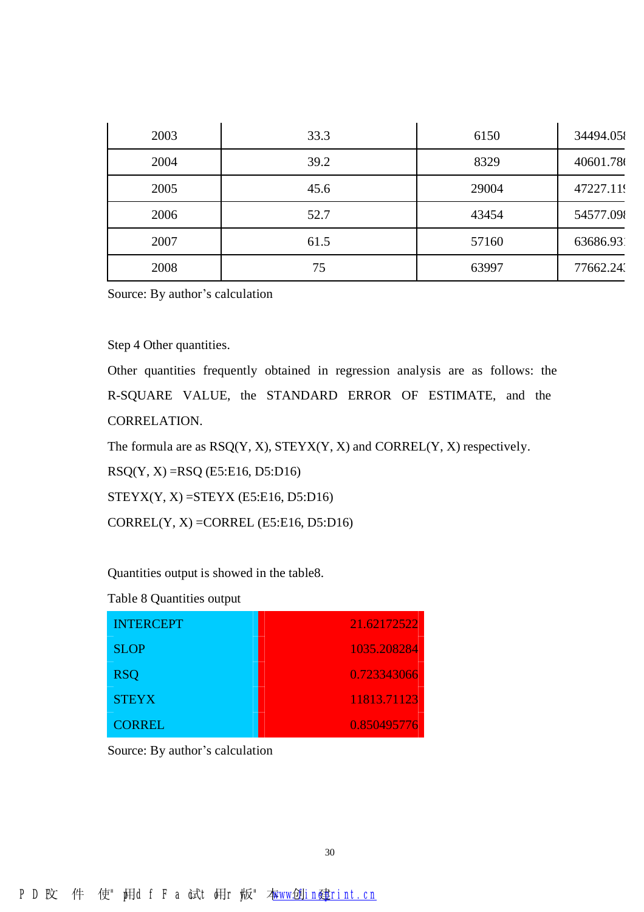| 2003 | 33.3 | 6150  | 34494.05  |
|------|------|-------|-----------|
| 2004 | 39.2 | 8329  | 40601.78  |
| 2005 | 45.6 | 29004 | 47227.119 |
| 2006 | 52.7 | 43454 | 54577.09  |
| 2007 | 61.5 | 57160 | 63686.93  |
| 2008 | 75   | 63997 | 77662.24. |

#### Step 4 Other quantities.

Other quantities frequently obtained in regression analysis are as follows: the R-SQUARE VALUE, the STANDARD ERROR OF ESTIMATE, and the CORRELATION.

The formula are as  $RSQ(Y, X)$ ,  $STEYX(Y, X)$  and  $CORREL(Y, X)$  respectively.

 $RSQ(Y, X) = RSQ$  (E5:E16, D5:D16)

 $STEYX(Y, X) = STEYX (E5:E16, D5:D16)$ 

 $CORREL(Y, X) = CORREL (E5:E16, D5:D16)$ 

Quantities output is showed in the table8.

Table 8 Quantities output

| <b>INTERCEPT</b> | 21.62172522 |
|------------------|-------------|
| <b>SLOP</b>      | 1035.208284 |
| <b>RSQ</b>       | 0.723343066 |
| <b>STEYX</b>     | 11813.71123 |
| <b>CORREL</b>    | 0.850495776 |

Source: By author's calculation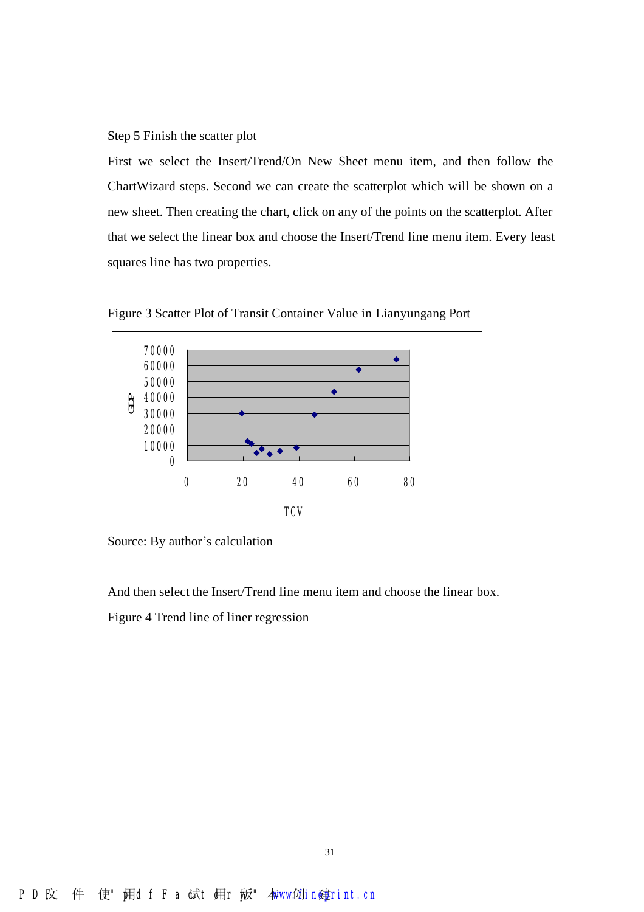Step 5 Finish the scatter plot

First we select the Insert/Trend/On New Sheet menu item, and then follow the ChartWizard steps. Second we can create the scatterplot which will be shown on a new sheet. Then creating the chart, click on any of the points on the scatterplot. After that we select the linear box and choose the Insert/Trend line menu item. Every least squares line has two properties.



Figure 3 Scatter Plot of Transit Container Value in Lianyungang Port

Source: By author's calculation

And then select the Insert/Trend line menu item and choose the linear box.

Figure 4 Trend line of liner regression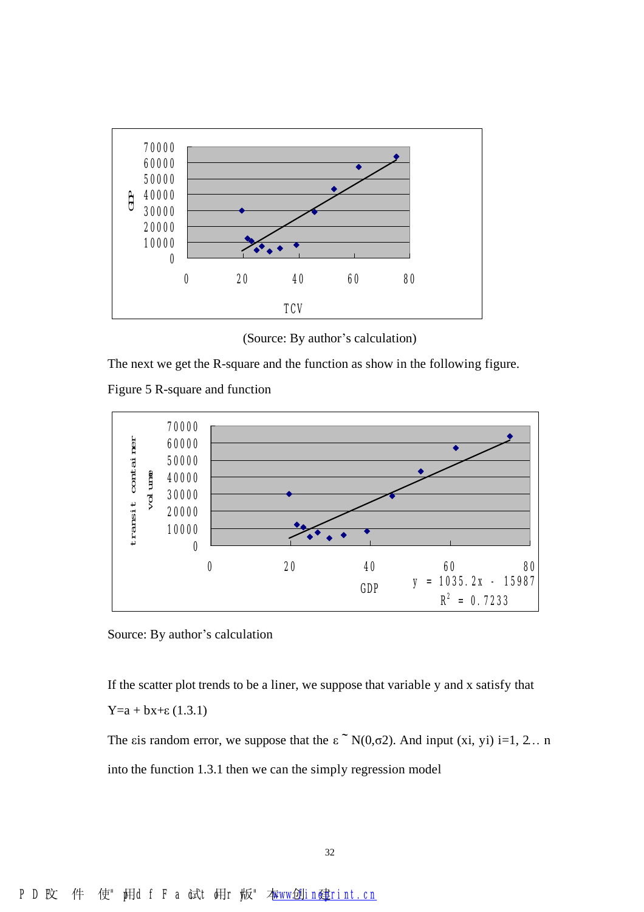

(Source: By author's calculation)

The next we get the R-square and the function as show in the following figure.





Source: By author's calculation

If the scatter plot trends to be a liner, we suppose that variable y and x satisfy that Y=a + bx+ε (1.3.1)

The εis random error, we suppose that the  $\epsilon$  N(0,σ2). And input (xi, yi) i=1, 2... n into the function 1.3.1 then we can the simply regression model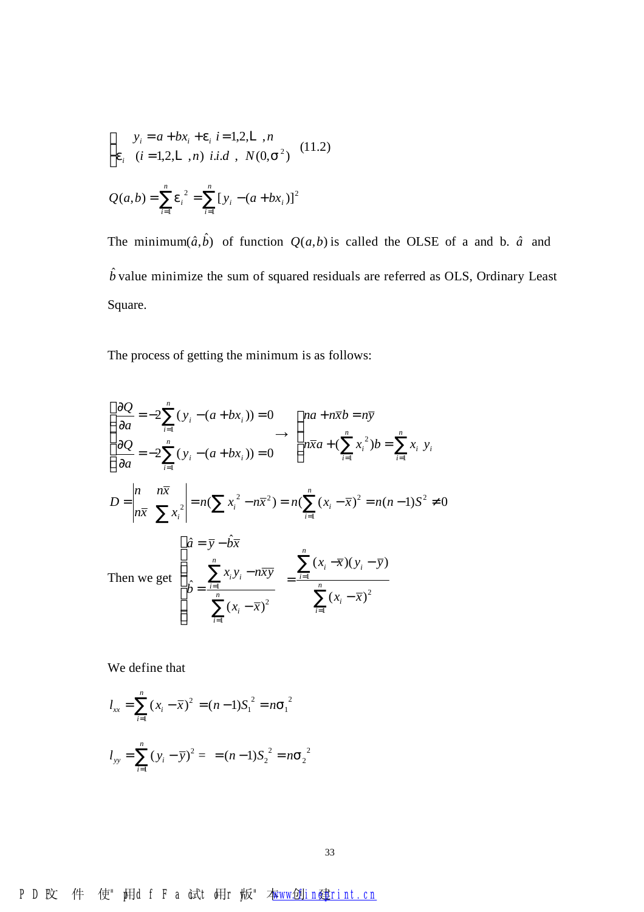$$
\begin{cases}\ny_i = a + bx_i + e_i \ i = 1, 2, L \ , n \\
e_i \ (i = 1, 2, L \ , n) \ i.i.d \ , \ N(0, s^2)\n\end{cases} (11.2)
$$
\n
$$
Q(a, b) = \sum_{i=1}^n e_i^2 = \sum_{i=1}^n [y_i - (a + bx_i)]^2
$$

The minimum $(\hat{a}, \hat{b})$  of function  $Q(a, b)$  is called the OLSE of a and b.  $\hat{a}$  and  $\hat{b}$  value minimize the sum of squared residuals are referred as OLS, Ordinary Least Square.

The process of getting the minimum is as follows:

$$
\begin{cases}\n\frac{\partial Q}{\partial a} = -2\sum_{i=1}^{n} (y_i - (a + bx_i)) = 0 & \text{and } n\overline{x}b = n\overline{y} \\
\frac{\partial Q}{\partial a} = -2\sum_{i=1}^{n} (y_i - (a + bx_i)) = 0 & \text{and } n\overline{x}a + (\sum_{i=1}^{n} x_i^2)b = \sum_{i=1}^{n} x_i y_i \\
D = \begin{vmatrix}\nn & n\overline{x} \\
n\overline{x} & \sum x_i^2\n\end{vmatrix} = n(\sum x_i^2 - n\overline{x}^2) = n(\sum_{i=1}^{n} (x_i - \overline{x})^2) = n(n-1)S^2 \neq 0 \\
\begin{cases}\n\hat{a} = \overline{y} - \hat{b}\overline{x} \\
\hat{b} = \frac{\sum_{i=1}^{n} x_i y_i - n\overline{x} \overline{y}}{\sum_{i=1}^{n} (x_i - \overline{x})^2} = \frac{\sum_{i=1}^{n} (x_i - \overline{x})(y_i - \overline{y})}{\sum_{i=1}^{n} (x_i - \overline{x})^2}\n\end{cases}
$$

We define that

$$
l_{xx} = \sum_{i=1}^{n} (x_i - \overline{x})^2 = (n-1)S_1^2 = nS_1^2
$$
  

$$
l_{yy} = \sum_{i=1}^{n} (y_i - \overline{y})^2 = (n-1)S_2^2 = nS_2^2
$$

## PD 文件 使" **阴d f F a 试t 胡r 恢"** 本**ww位in<print.cn**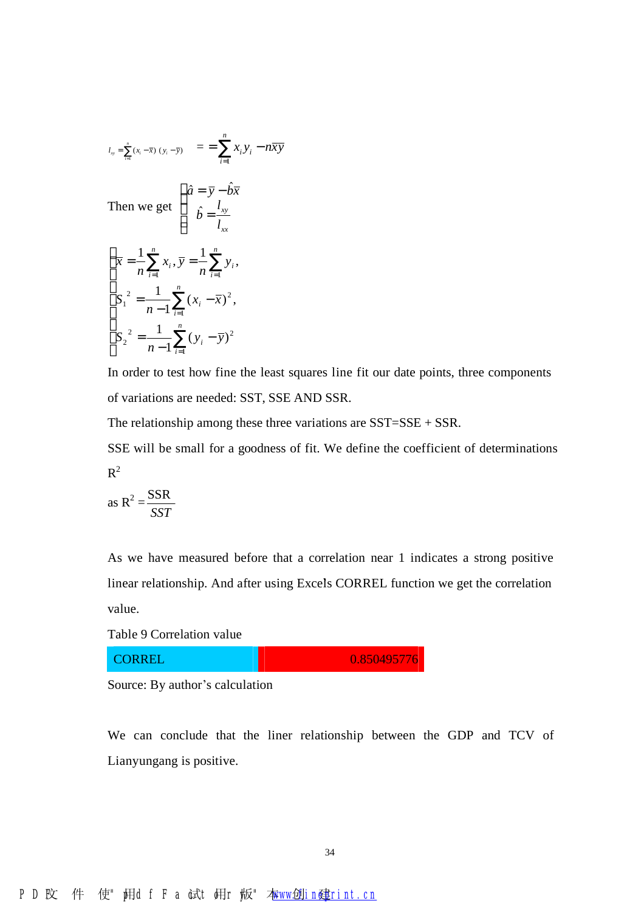$$
l_{\infty} = \sum_{i=1}^{n} (x_i - \bar{x}) (y_i - \bar{y}) = \sum_{i=1}^{n} x_i y_i - n \bar{x} \bar{y}
$$
  
Then we get 
$$
\begin{cases} \hat{a} = \bar{y} - \hat{b} \bar{x} \\ \hat{b} = \frac{l_{xy}}{l_{xx}} \end{cases}
$$

$$
\begin{cases} \bar{x} = \frac{1}{n} \sum_{i=1}^{n} x_i, \bar{y} = \frac{1}{n} \sum_{i=1}^{n} y_i, \\ S_1^2 = \frac{1}{n-1} \sum_{i=1}^{n} (x_i - \bar{x})^2, \\ S_2^2 = \frac{1}{n-1} \sum_{i=1}^{n} (y_i - \bar{y})^2 \end{cases}
$$

In order to test how fine the least squares line fit our date points, three components of variations are needed: SST, SSE AND SSR.

The relationship among these three variations are SST=SSE + SSR.

SSE will be small for a goodness of fit. We define the coefficient of determinations  $R^2$ 

as 
$$
R^2 = \frac{SSR}{SST}
$$

As we have measured before that a correlation near 1 indicates a strong positive linear relationship. And after using Excels CORREL function we get the correlation value.

Table 9 Correlation value

CORREL 0.850495776

Source: By author's calculation

We can conclude that the liner relationship between the GDP and TCV of Lianyungang is positive.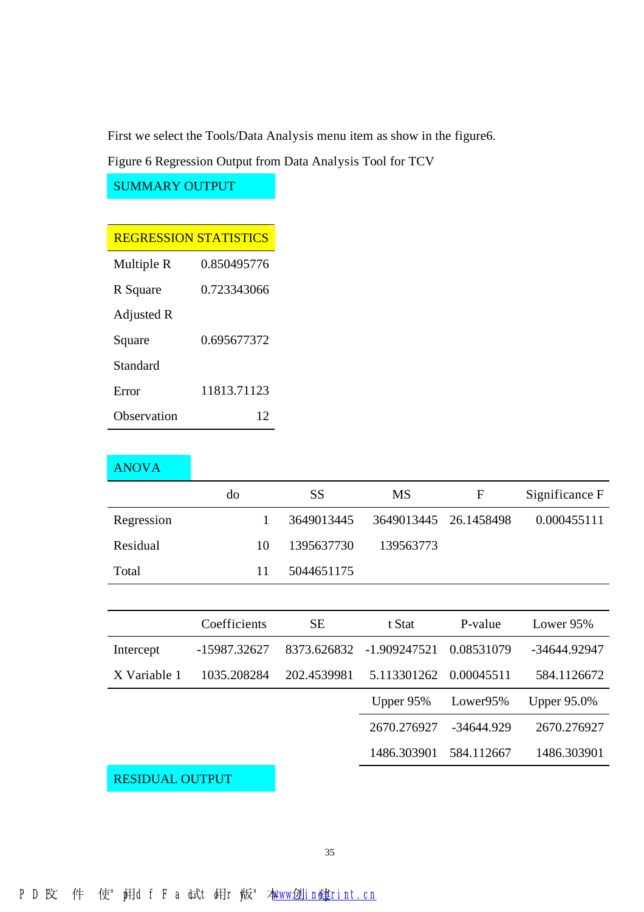First we select the Tools/Data Analysis menu item as show in the figure6.

Figure 6 Regression Output from Data Analysis Tool for TCV

SUMMARY OUTPUT

## REGRESSION STATISTICS

| Multiple R  | 0.850495776 |
|-------------|-------------|
| R Square    | 0.723343066 |
| Adjusted R  |             |
| Square      | 0.695677372 |
| Standard    |             |
| Error       | 11813.71123 |
| Observation |             |

### ANOVA

|            | do | SS         | MS                    | F | Significance F |
|------------|----|------------|-----------------------|---|----------------|
| Regression |    | 3649013445 | 3649013445 26.1458498 |   | 0.000455111    |
| Residual   | 10 | 1395637730 | 139563773             |   |                |
| Total      | 11 | 5044651175 |                       |   |                |

|              | Coefficients | SЕ          | t Stat                   | P-value    | Lower 95%          |
|--------------|--------------|-------------|--------------------------|------------|--------------------|
| Intercept    | -15987.32627 |             | 8373.626832 -1.909247521 | 0.08531079 | -34644.92947       |
| X Variable 1 | 1035.208284  | 202.4539981 | 5.113301262 0.00045511   |            | 584.1126672        |
|              |              |             |                          |            |                    |
|              |              |             | Upper $95\%$             | Lower95%   | <b>Upper 95.0%</b> |
|              |              |             | 2670.276927              | -34644.929 | 2670.276927        |
|              |              |             | 1486.303901              | 584.112667 | 1486.303901        |

RESIDUAL OUTPUT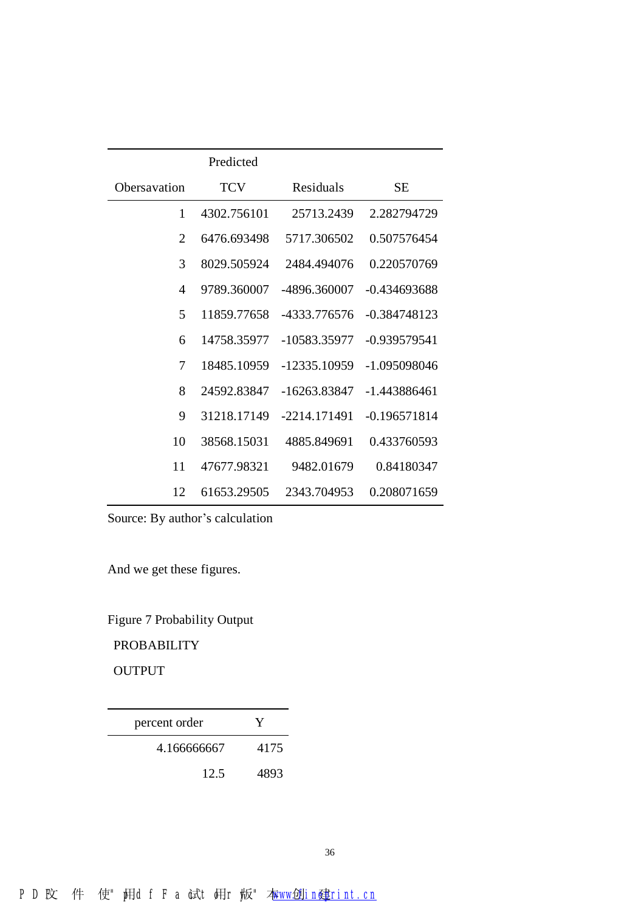|                | Predicted   |              |                |
|----------------|-------------|--------------|----------------|
| Obersavation   | <b>TCV</b>  | Residuals    | SЕ             |
| 1              | 4302.756101 | 25713.2439   | 2.282794729    |
| $\overline{2}$ | 6476.693498 | 5717.306502  | 0.507576454    |
| 3              | 8029.505924 | 2484.494076  | 0.220570769    |
| 4              | 9789.360007 | -4896.360007 | $-0.434693688$ |
| 5              | 11859.77658 | -4333.776576 | -0.384748123   |
| 6              | 14758.35977 | -10583.35977 | -0.939579541   |
| 7              | 18485.10959 | -12335.10959 | -1.095098046   |
| 8              | 24592.83847 | -16263.83847 | -1.443886461   |
| 9              | 31218.17149 | -2214.171491 | $-0.196571814$ |
| 10             | 38568.15031 | 4885.849691  | 0.433760593    |
| 11             | 47677.98321 | 9482.01679   | 0.84180347     |
| 12             | 61653.29505 | 2343.704953  | 0.208071659    |

And we get these figures.

Figure 7 Probability Output

PROBABILITY

OUTPUT

| percent order | Y    |
|---------------|------|
| 4.166666667   | 4175 |
| 12.5          | 4893 |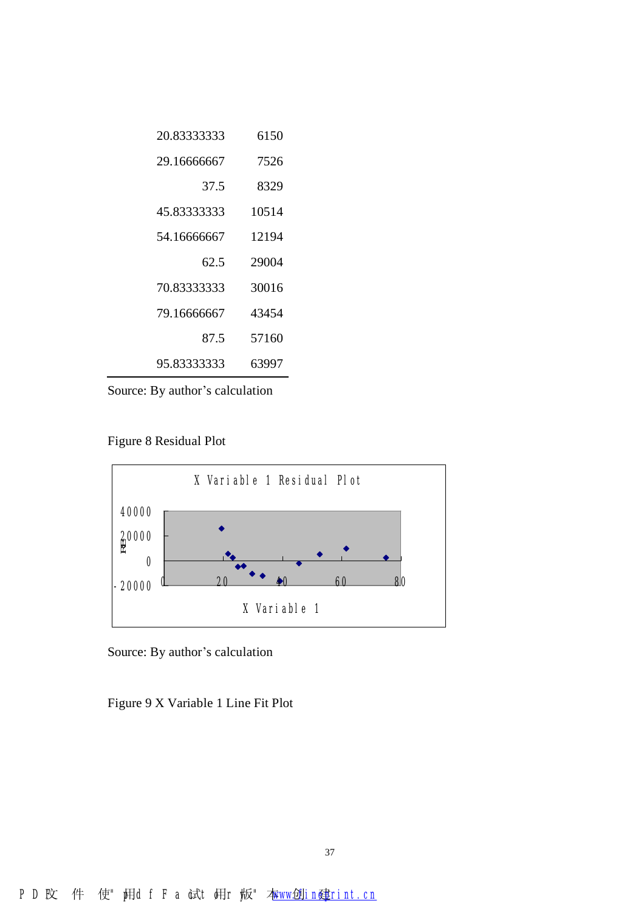| 20.83333333 | 6150  |
|-------------|-------|
| 29.16666667 | 7526  |
| 37.5        | 8329  |
| 45.83333333 | 10514 |
| 54.16666667 | 12194 |
| 62.5        | 29004 |
|             |       |
| 70.83333333 | 30016 |
| 79.16666667 | 43454 |
| 87.5        | 57160 |

Figure 8 Residual Plot



Source: By author's calculation

Figure 9 X Variable 1 Line Fit Plot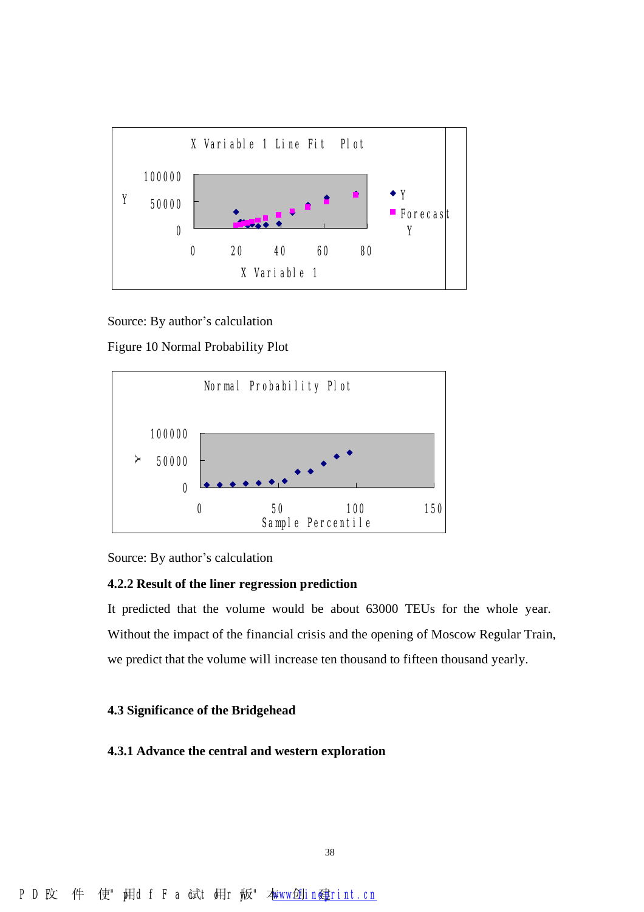

Figure 10 Normal Probability Plot



Source: By author's calculation

#### **4.2.2 Result of the liner regression prediction**

It predicted that the volume would be about 63000 TEUs for the whole year. Without the impact of the financial crisis and the opening of Moscow Regular Train, we predict that the volume will increase ten thousand to fifteen thousand yearly.

#### **4.3 Significance of the Bridgehead**

#### **4.3.1 Advance the central and western exploration**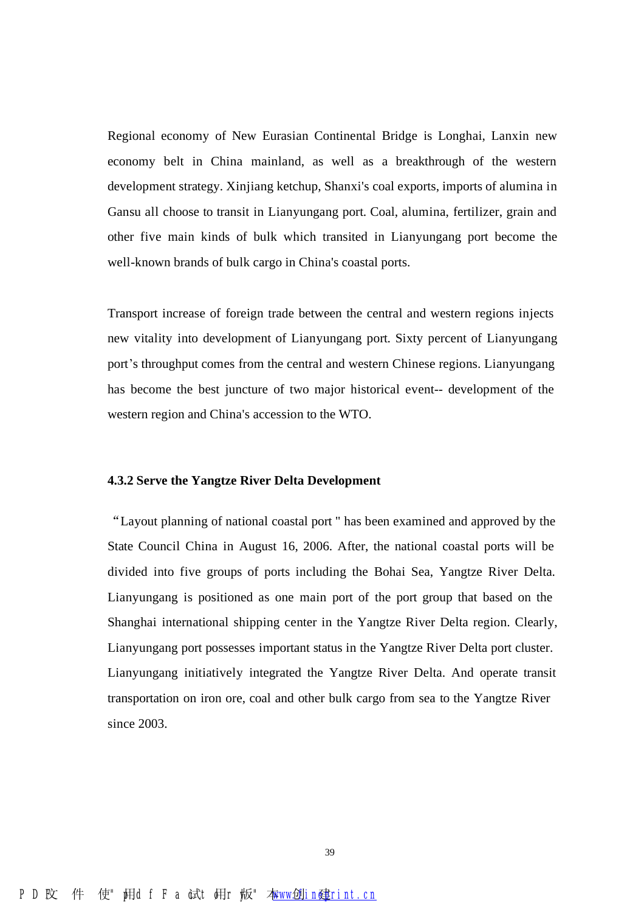Regional economy of New Eurasian Continental Bridge is Longhai, Lanxin new economy belt in China mainland, as well as a breakthrough of the western development strategy. Xinjiang ketchup, Shanxi's coal exports, imports of alumina in Gansu all choose to transit in Lianyungang port. Coal, alumina, fertilizer, grain and other five main kinds of bulk which transited in Lianyungang port become the well-known brands of bulk cargo in China's coastal ports.

Transport increase of foreign trade between the central and western regions injects new vitality into development of Lianyungang port. Sixty percent of Lianyungang port's throughput comes from the central and western Chinese regions. Lianyungang has become the best juncture of two major historical event-- development of the western region and China's accession to the WTO.

#### **4.3.2 Serve the Yangtze River Delta Development**

"Layout planning of national coastal port " has been examined and approved by the State Council China in August 16, 2006. After, the national coastal ports will be divided into five groups of ports including the Bohai Sea, Yangtze River Delta. Lianyungang is positioned as one main port of the port group that based on the Shanghai international shipping center in the Yangtze River Delta region. Clearly, Lianyungang port possesses important status in the Yangtze River Delta port cluster. Lianyungang initiatively integrated the Yangtze River Delta. And operate transit transportation on iron ore, coal and other bulk cargo from sea to the Yangtze River since 2003.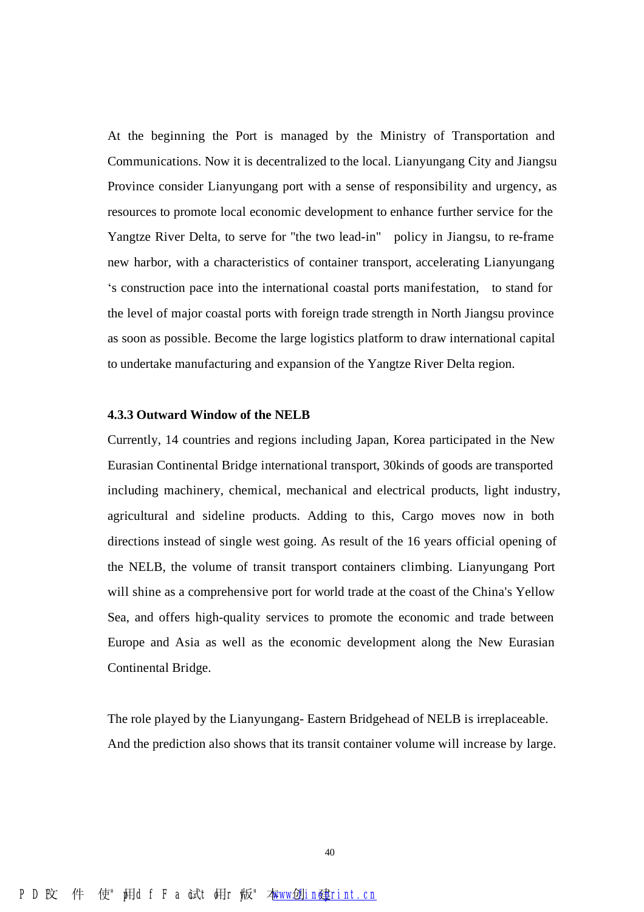At the beginning the Port is managed by the Ministry of Transportation and Communications. Now it is decentralized to the local. Lianyungang City and Jiangsu Province consider Lianyungang port with a sense of responsibility and urgency, as resources to promote local economic development to enhance further service for the Yangtze River Delta, to serve for "the two lead-in" policy in Jiangsu, to re-frame new harbor, with a characteristics of container transport, accelerating Lianyungang 's construction pace into the international coastal ports manifestation, to stand for the level of major coastal ports with foreign trade strength in North Jiangsu province as soon as possible. Become the large logistics platform to draw international capital to undertake manufacturing and expansion of the Yangtze River Delta region.

#### **4.3.3 Outward Window of the NELB**

Currently, 14 countries and regions including Japan, Korea participated in the New Eurasian Continental Bridge international transport, 30kinds of goods are transported including machinery, chemical, mechanical and electrical products, light industry, agricultural and sideline products. Adding to this, Cargo moves now in both directions instead of single west going. As result of the 16 years official opening of the NELB, the volume of transit transport containers climbing. Lianyungang Port will shine as a comprehensive port for world trade at the coast of the China's Yellow Sea, and offers high-quality services to promote the economic and trade between Europe and Asia as well as the economic development along the New Eurasian Continental Bridge.

The role played by the Lianyungang- Eastern Bridgehead of NELB is irreplaceable. And the prediction also shows that its transit container volume will increase by large.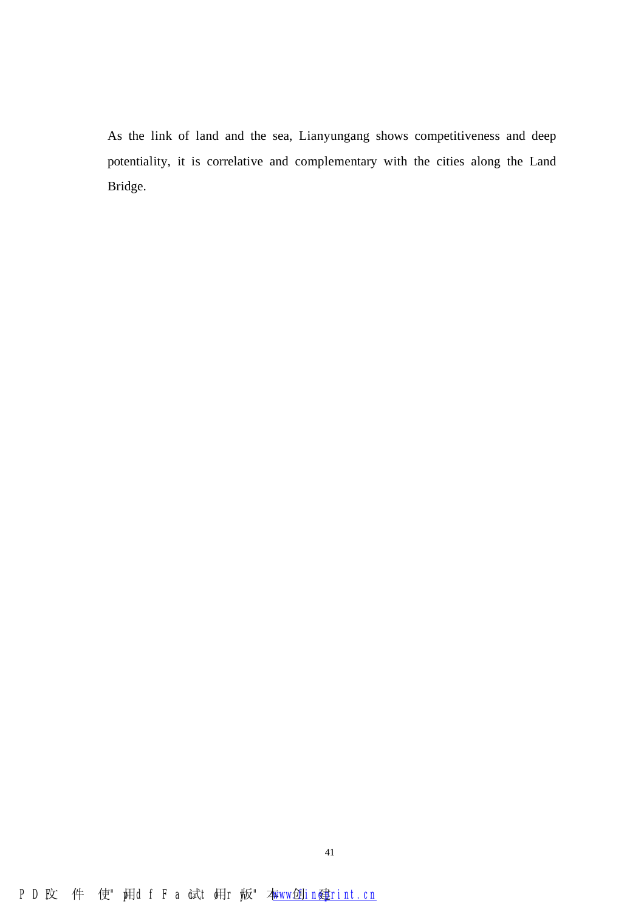As the link of land and the sea, Lianyungang shows competitiveness and deep potentiality, it is correlative and complementary with the cities along the Land Bridge.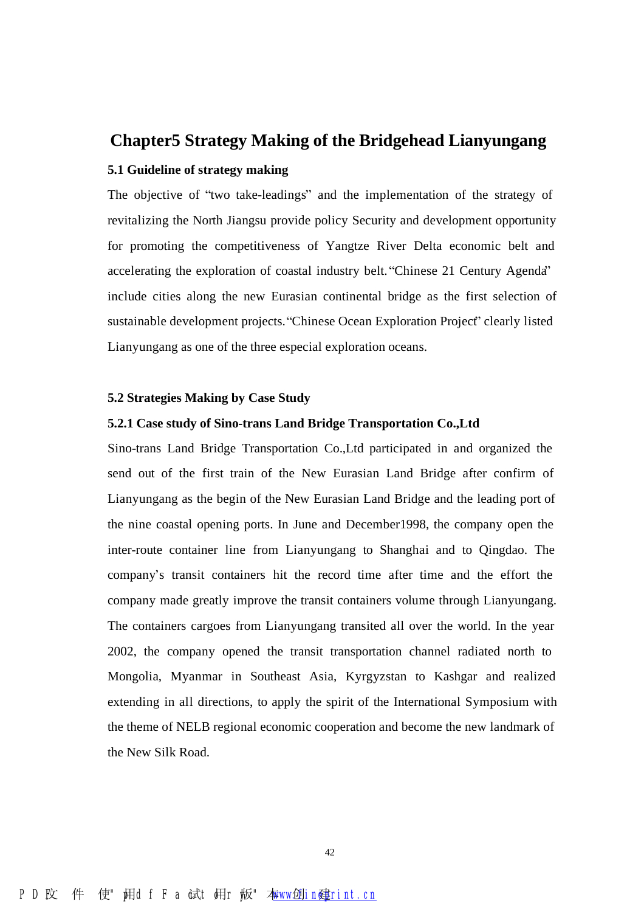### **Chapter5 Strategy Making of the Bridgehead Lianyungang**

#### **5.1 Guideline of strategy making**

The objective of "two take-leadings" and the implementation of the strategy of revitalizing the North Jiangsu provide policy Security and development opportunity for promoting the competitiveness of Yangtze River Delta economic belt and accelerating the exploration of coastal industry belt. "Chinese 21 Century Agenda" include cities along the new Eurasian continental bridge as the first selection of sustainable development projects. "Chinese Ocean Exploration Project" clearly listed Lianyungang as one of the three especial exploration oceans.

#### **5.2 Strategies Making by Case Study**

#### **5.2.1 Case study of Sino-trans Land Bridge Transportation Co.,Ltd**

Sino-trans Land Bridge Transportation Co.,Ltd participated in and organized the send out of the first train of the New Eurasian Land Bridge after confirm of Lianyungang as the begin of the New Eurasian Land Bridge and the leading port of the nine coastal opening ports. In June and December1998, the company open the inter-route container line from Lianyungang to Shanghai and to Qingdao. The company's transit containers hit the record time after time and the effort the company made greatly improve the transit containers volume through Lianyungang. The containers cargoes from Lianyungang transited all over the world. In the year 2002, the company opened the transit transportation channel radiated north to Mongolia, Myanmar in Southeast Asia, Kyrgyzstan to Kashgar and realized extending in all directions, to apply the spirit of the International Symposium with the theme of NELB regional economic cooperation and become the new landmark of the New Silk Road.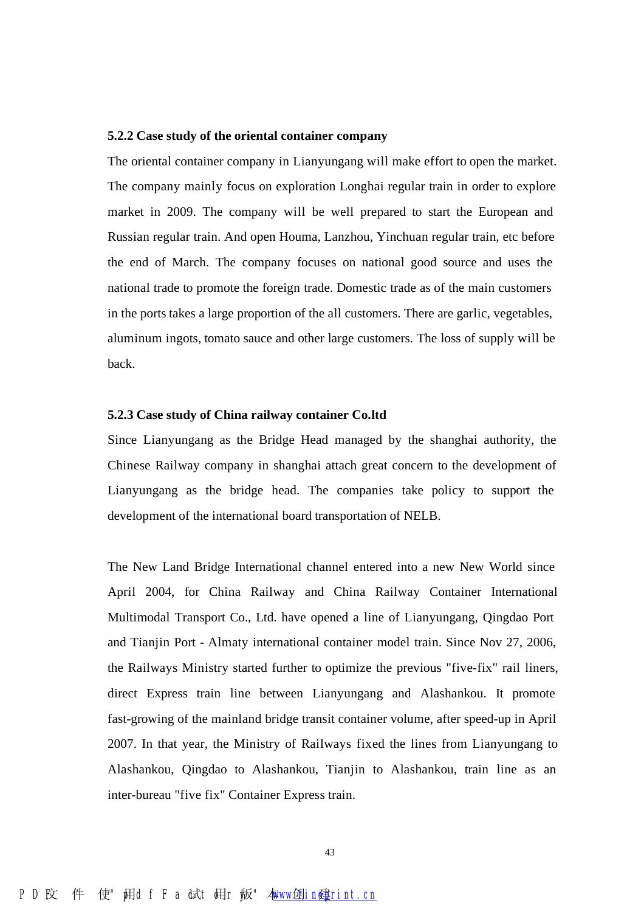#### **5.2.2 Case study of the oriental container company**

The oriental container company in Lianyungang will make effort to open the market. The company mainly focus on exploration Longhai regular train in order to explore market in 2009. The company will be well prepared to start the European and Russian regular train. And open Houma, Lanzhou, Yinchuan regular train, etc before the end of March. The company focuses on national good source and uses the national trade to promote the foreign trade. Domestic trade as of the main customers in the ports takes a large proportion of the all customers. There are garlic, vegetables, aluminum ingots, tomato sauce and other large customers. The loss of supply will be back.

#### **5.2.3 Case study of China railway container Co.ltd**

Since Lianyungang as the Bridge Head managed by the shanghai authority, the Chinese Railway company in shanghai attach great concern to the development of Lianyungang as the bridge head. The companies take policy to support the development of the international board transportation of NELB.

The New Land Bridge International channel entered into a new New World since April 2004, for China Railway and China Railway Container International Multimodal Transport Co., Ltd. have opened a line of Lianyungang, Qingdao Port and Tianjin Port - Almaty international container model train. Since Nov 27, 2006, the Railways Ministry started further to optimize the previous "five-fix" rail liners, direct Express train line between Lianyungang and Alashankou. It promote fast-growing of the mainland bridge transit container volume, after speed-up in April 2007. In that year, the Ministry of Railways fixed the lines from Lianyungang to Alashankou, Qingdao to Alashankou, Tianjin to Alashankou, train line as an inter-bureau "five fix" Container Express train.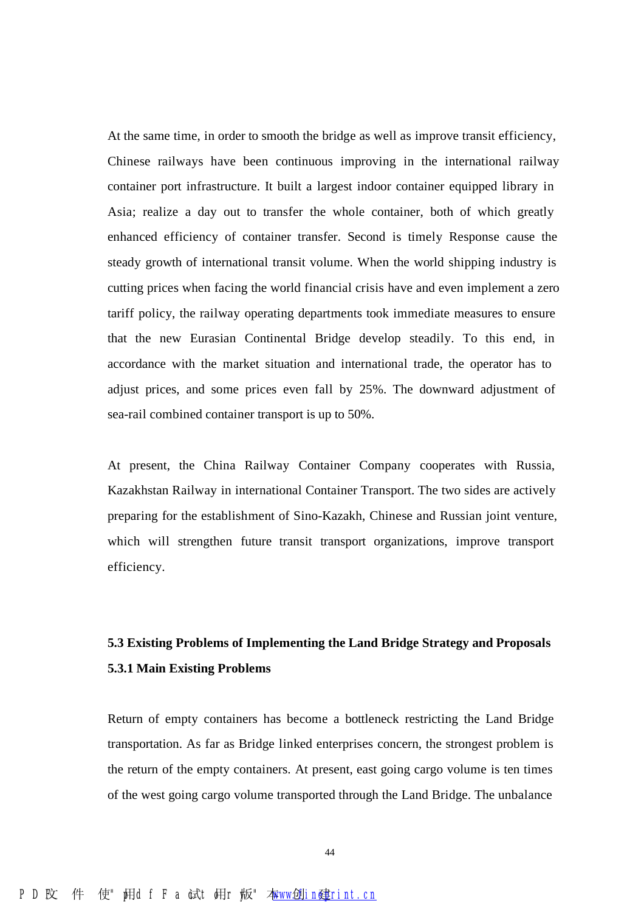At the same time, in order to smooth the bridge as well as improve transit efficiency, Chinese railways have been continuous improving in the international railway container port infrastructure. It built a largest indoor container equipped library in Asia; realize a day out to transfer the whole container, both of which greatly enhanced efficiency of container transfer. Second is timely Response cause the steady growth of international transit volume. When the world shipping industry is cutting prices when facing the world financial crisis have and even implement a zero tariff policy, the railway operating departments took immediate measures to ensure that the new Eurasian Continental Bridge develop steadily. To this end, in accordance with the market situation and international trade, the operator has to adjust prices, and some prices even fall by 25%. The downward adjustment of sea-rail combined container transport is up to 50%.

At present, the China Railway Container Company cooperates with Russia, Kazakhstan Railway in international Container Transport. The two sides are actively preparing for the establishment of Sino-Kazakh, Chinese and Russian joint venture, which will strengthen future transit transport organizations, improve transport efficiency.

## **5.3 Existing Problems of Implementing the Land Bridge Strategy and Proposals 5.3.1 Main Existing Problems**

Return of empty containers has become a bottleneck restricting the Land Bridge transportation. As far as Bridge linked enterprises concern, the strongest problem is the return of the empty containers. At present, east going cargo volume is ten times of the west going cargo volume transported through the Land Bridge. The unbalance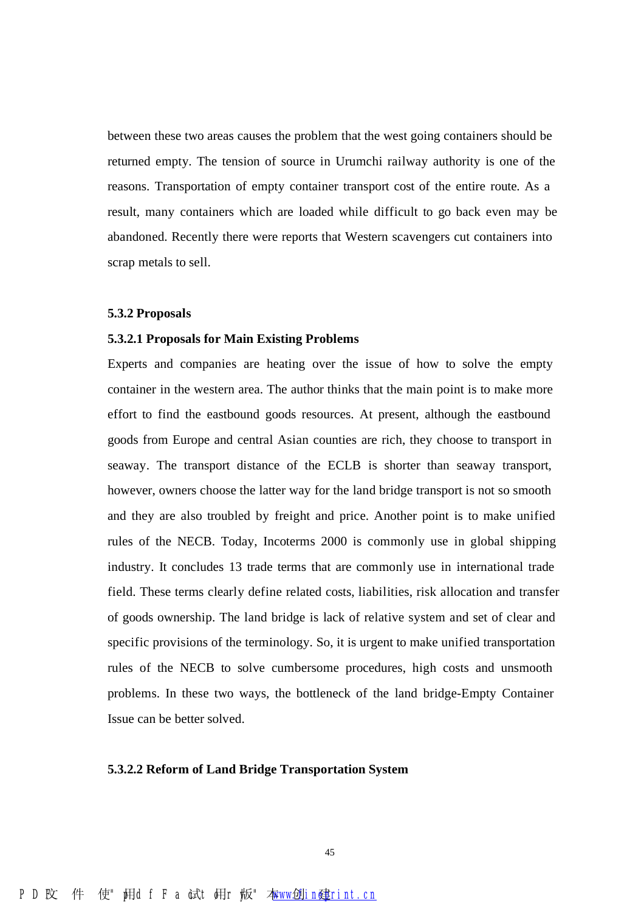between these two areas causes the problem that the west going containers should be returned empty. The tension of source in Urumchi railway authority is one of the reasons. Transportation of empty container transport cost of the entire route. As a result, many containers which are loaded while difficult to go back even may be abandoned. Recently there were reports that Western scavengers cut containers into scrap metals to sell.

#### **5.3.2 Proposals**

#### **5.3.2.1 Proposals for Main Existing Problems**

Experts and companies are heating over the issue of how to solve the empty container in the western area. The author thinks that the main point is to make more effort to find the eastbound goods resources. At present, although the eastbound goods from Europe and central Asian counties are rich, they choose to transport in seaway. The transport distance of the ECLB is shorter than seaway transport, however, owners choose the latter way for the land bridge transport is not so smooth and they are also troubled by freight and price. Another point is to make unified rules of the NECB. Today, Incoterms 2000 is commonly use in global shipping industry. It concludes 13 trade terms that are commonly use in international trade field. These terms clearly define related costs, liabilities, risk allocation and transfer of goods ownership. The land bridge is lack of relative system and set of clear and specific provisions of the terminology. So, it is urgent to make unified transportation rules of the NECB to solve cumbersome procedures, high costs and unsmooth problems. In these two ways, the bottleneck of the land bridge-Empty Container Issue can be better solved.

#### **5.3.2.2 Reform of Land Bridge Transportation System**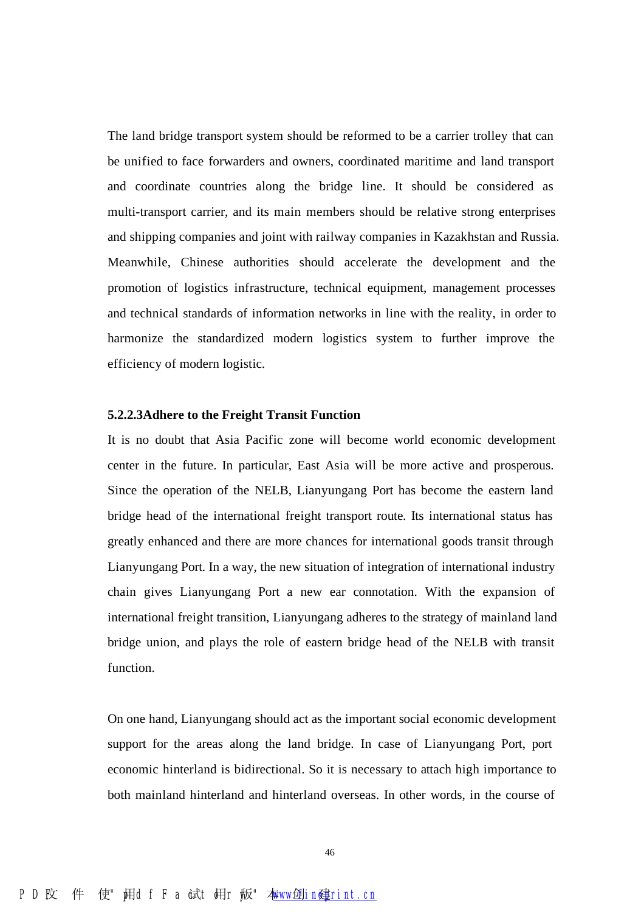The land bridge transport system should be reformed to be a carrier trolley that can be unified to face forwarders and owners, coordinated maritime and land transport and coordinate countries along the bridge line. It should be considered as multi-transport carrier, and its main members should be relative strong enterprises and shipping companies and joint with railway companies in Kazakhstan and Russia. Meanwhile, Chinese authorities should accelerate the development and the promotion of logistics infrastructure, technical equipment, management processes and technical standards of information networks in line with the reality, in order to harmonize the standardized modern logistics system to further improve the efficiency of modern logistic.

#### **5.2.2.3Adhere to the Freight Transit Function**

It is no doubt that Asia Pacific zone will become world economic development center in the future. In particular, East Asia will be more active and prosperous. Since the operation of the NELB, Lianyungang Port has become the eastern land bridge head of the international freight transport route. Its international status has greatly enhanced and there are more chances for international goods transit through Lianyungang Port. In a way, the new situation of integration of international industry chain gives Lianyungang Port a new ear connotation. With the expansion of international freight transition, Lianyungang adheres to the strategy of mainland land bridge union, and plays the role of eastern bridge head of the NELB with transit function.

On one hand, Lianyungang should act as the important social economic development support for the areas along the land bridge. In case of Lianyungang Port, port economic hinterland is bidirectional. So it is necessary to attach high importance to both mainland hinterland and hinterland overseas. In other words, in the course of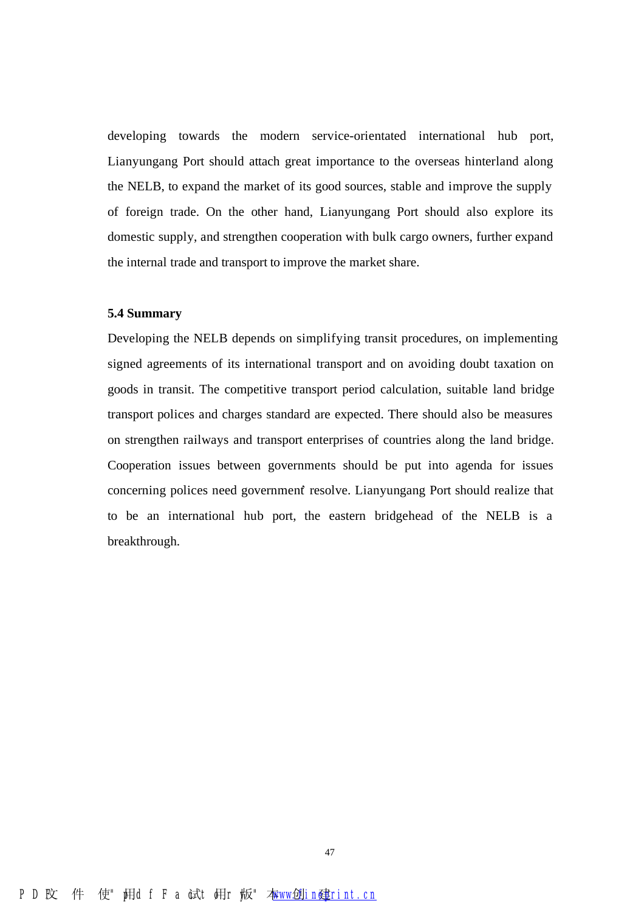developing towards the modern service-orientated international hub port, Lianyungang Port should attach great importance to the overseas hinterland along the NELB, to expand the market of its good sources, stable and improve the supply of foreign trade. On the other hand, Lianyungang Port should also explore its domestic supply, and strengthen cooperation with bulk cargo owners, further expand the internal trade and transport to improve the market share.

#### **5.4 Summary**

Developing the NELB depends on simplifying transit procedures, on implementing signed agreements of its international transport and on avoiding doubt taxation on goods in transit. The competitive transport period calculation, suitable land bridge transport polices and charges standard are expected. There should also be measures on strengthen railways and transport enterprises of countries along the land bridge. Cooperation issues between governments should be put into agenda for issues concerning polices need government' resolve. Lianyungang Port should realize that to be an international hub port, the eastern bridgehead of the NELB is a breakthrough.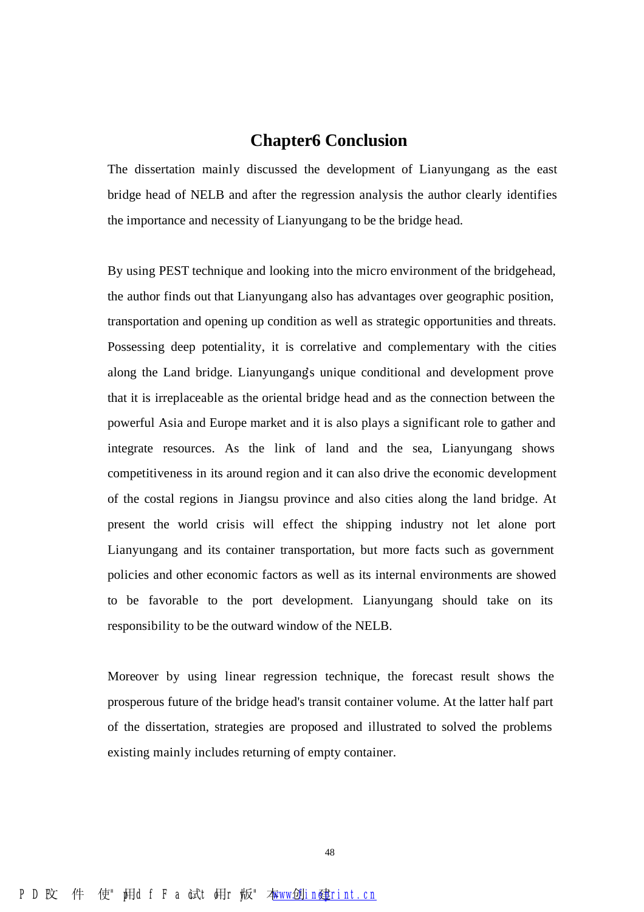## **Chapter6 Conclusion**

The dissertation mainly discussed the development of Lianyungang as the east bridge head of NELB and after the regression analysis the author clearly identifies the importance and necessity of Lianyungang to be the bridge head.

By using PEST technique and looking into the micro environment of the bridgehead, the author finds out that Lianyungang also has advantages over geographic position, transportation and opening up condition as well as strategic opportunities and threats. Possessing deep potentiality, it is correlative and complementary with the cities along the Land bridge. Lianyungang's unique conditional and development prove that it is irreplaceable as the oriental bridge head and as the connection between the powerful Asia and Europe market and it is also plays a significant role to gather and integrate resources. As the link of land and the sea, Lianyungang shows competitiveness in its around region and it can also drive the economic development of the costal regions in Jiangsu province and also cities along the land bridge. At present the world crisis will effect the shipping industry not let alone port Lianyungang and its container transportation, but more facts such as government policies and other economic factors as well as its internal environments are showed to be favorable to the port development. Lianyungang should take on its responsibility to be the outward window of the NELB.

Moreover by using linear regression technique, the forecast result shows the prosperous future of the bridge head's transit container volume. At the latter half part of the dissertation, strategies are proposed and illustrated to solved the problems existing mainly includes returning of empty container.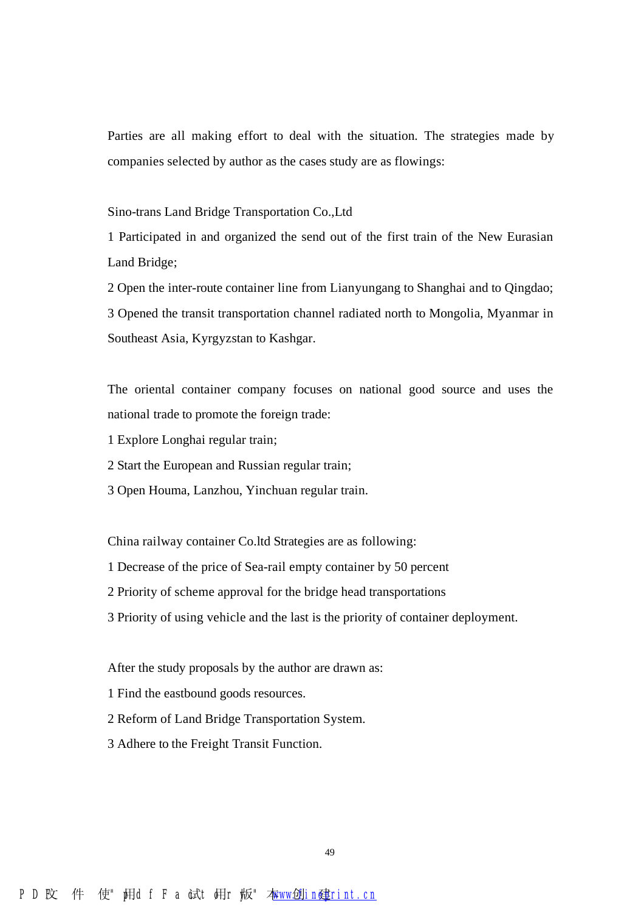Parties are all making effort to deal with the situation. The strategies made by companies selected by author as the cases study are as flowings:

Sino-trans Land Bridge Transportation Co.,Ltd

1 Participated in and organized the send out of the first train of the New Eurasian Land Bridge;

2 Open the inter-route container line from Lianyungang to Shanghai and to Qingdao; 3 Opened the transit transportation channel radiated north to Mongolia, Myanmar in Southeast Asia, Kyrgyzstan to Kashgar.

The oriental container company focuses on national good source and uses the national trade to promote the foreign trade:

- 1 Explore Longhai regular train;
- 2 Start the European and Russian regular train;
- 3 Open Houma, Lanzhou, Yinchuan regular train.

China railway container Co.ltd Strategies are as following:

- 1 Decrease of the price of Sea-rail empty container by 50 percent
- 2 Priority of scheme approval for the bridge head transportations
- 3 Priority of using vehicle and the last is the priority of container deployment.

After the study proposals by the author are drawn as:

- 1 Find the eastbound goods resources.
- 2 Reform of Land Bridge Transportation System.
- 3 Adhere to the Freight Transit Function.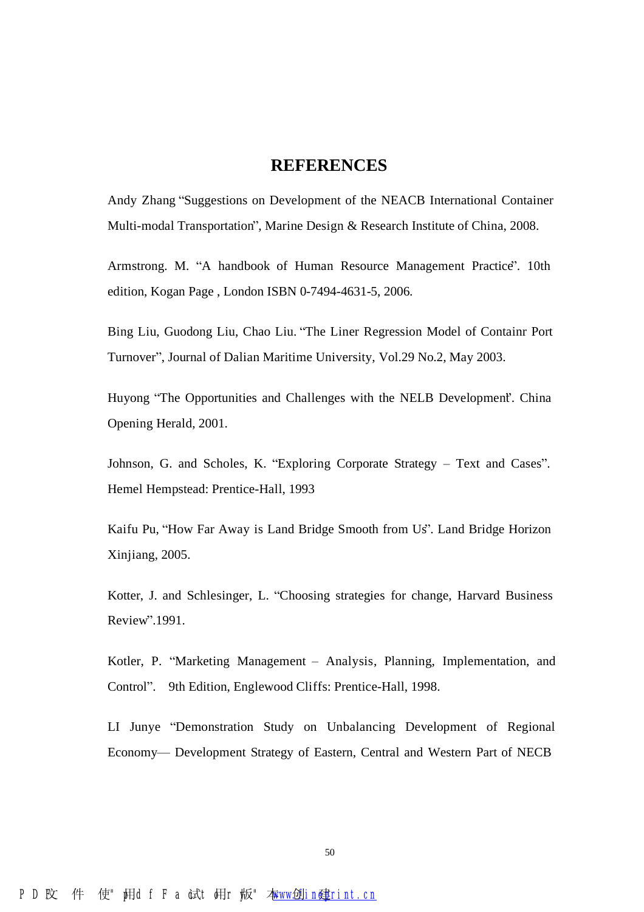#### **REFERENCES**

Andy Zhang "Suggestions on Development of the NEACB International Container Multi-modal Transportation", Marine Design & Research Institute of China, 2008.

Armstrong. M. "A handbook of Human Resource Management Practice". 10th edition, Kogan Page , London ISBN 0-7494-4631-5, 2006.

Bing Liu, Guodong Liu, Chao Liu. "The Liner Regression Model of Containr Port Turnover", Journal of Dalian Maritime University, Vol.29 No.2, May 2003.

Huyong "The Opportunities and Challenges with the NELB Development". China Opening Herald, 2001.

Johnson, G. and Scholes, K. "Exploring Corporate Strategy – Text and Cases". Hemel Hempstead: Prentice-Hall, 1993

Kaifu Pu, "How Far Away is Land Bridge Smooth from Us". Land Bridge Horizon Xinjiang, 2005.

Kotter, J. and Schlesinger, L. "Choosing strategies for change, Harvard Business Review".1991.

Kotler, P. "Marketing Management – Analysis, Planning, Implementation, and Control". 9th Edition, Englewood Cliffs: Prentice-Hall, 1998.

LI Junye "Demonstration Study on Unbalancing Development of Regional Economy— Development Strategy of Eastern, Central and Western Part of NECB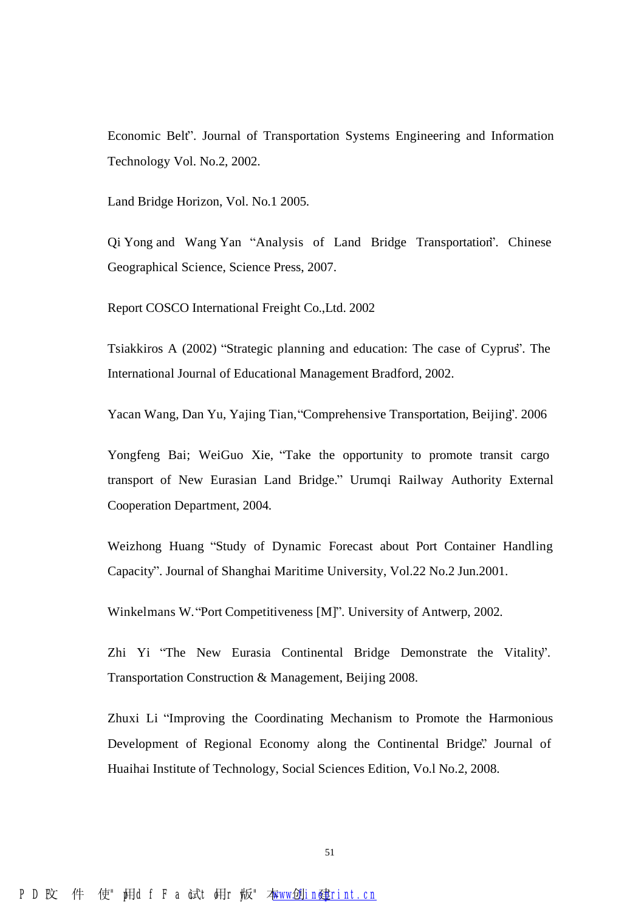Economic Belt". Journal of Transportation Systems Engineering and Information Technology Vol. No.2, 2002.

Land Bridge Horizon, Vol. No.1 2005.

Qi Yong and Wang Yan "Analysis of Land Bridge Transportation". Chinese Geographical Science, Science Press, 2007.

Report COSCO International Freight Co.,Ltd. 2002

Tsiakkiros A (2002) "Strategic planning and education: The case of Cyprus". The International Journal of Educational Management Bradford, 2002.

Yacan Wang, Dan Yu, Yajing Tian, "Comprehensive Transportation, Beijing". 2006

Yongfeng Bai; WeiGuo Xie, "Take the opportunity to promote transit cargo transport of New Eurasian Land Bridge." Urumqi Railway Authority External Cooperation Department, 2004.

Weizhong Huang "Study of Dynamic Forecast about Port Container Handling Capacity". Journal of Shanghai Maritime University, Vol.22 No.2 Jun.2001.

Winkelmans W. "Port Competitiveness [M]". University of Antwerp, 2002.

Zhi Yi "The New Eurasia Continental Bridge Demonstrate the Vitality". Transportation Construction & Management, Beijing 2008.

Zhuxi Li "Improving the Coordinating Mechanism to Promote the Harmonious Development of Regional Economy along the Continental Bridge." Journal of Huaihai Institute of Technology, Social Sciences Edition, Vo.l No.2, 2008.